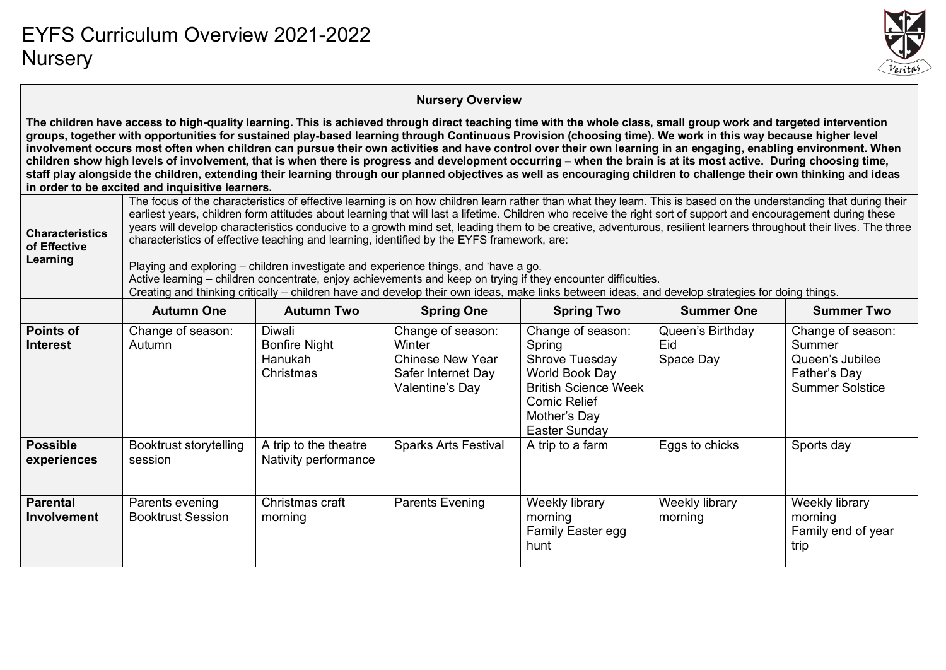

#### **Nursery Overview**

**The children have access to high-quality learning. This is achieved through direct teaching time with the whole class, small group work and targeted intervention groups, together with opportunities for sustained play-based learning through Continuous Provision (choosing time). We work in this way because higher level involvement occurs most often when children can pursue their own activities and have control over their own learning in an engaging, enabling environment. When children show high levels of involvement, that is when there is progress and development occurring – when the brain is at its most active. During choosing time, staff play alongside the children, extending their learning through our planned objectives as well as encouraging children to challenge their own thinking and ideas in order to be excited and inquisitive learners.**

| in order to be excited and inquisitive learners.   |                                                                                                                                                                                                                                                                                                                                                                                                                                                                                                                                                                                                                                                                                                                                                                                                                                                                                                                                                                     |                                                        |                                                                                                 |                                                                                                                                                        |                                      |                                                                                          |  |  |
|----------------------------------------------------|---------------------------------------------------------------------------------------------------------------------------------------------------------------------------------------------------------------------------------------------------------------------------------------------------------------------------------------------------------------------------------------------------------------------------------------------------------------------------------------------------------------------------------------------------------------------------------------------------------------------------------------------------------------------------------------------------------------------------------------------------------------------------------------------------------------------------------------------------------------------------------------------------------------------------------------------------------------------|--------------------------------------------------------|-------------------------------------------------------------------------------------------------|--------------------------------------------------------------------------------------------------------------------------------------------------------|--------------------------------------|------------------------------------------------------------------------------------------|--|--|
| <b>Characteristics</b><br>of Effective<br>Learning | The focus of the characteristics of effective learning is on how children learn rather than what they learn. This is based on the understanding that during their<br>earliest years, children form attitudes about learning that will last a lifetime. Children who receive the right sort of support and encouragement during these<br>years will develop characteristics conducive to a growth mind set, leading them to be creative, adventurous, resilient learners throughout their lives. The three<br>characteristics of effective teaching and learning, identified by the EYFS framework, are:<br>Playing and exploring – children investigate and experience things, and 'have a go.<br>Active learning – children concentrate, enjoy achievements and keep on trying if they encounter difficulties.<br>Creating and thinking critically – children have and develop their own ideas, make links between ideas, and develop strategies for doing things. |                                                        |                                                                                                 |                                                                                                                                                        |                                      |                                                                                          |  |  |
|                                                    | <b>Autumn One</b>                                                                                                                                                                                                                                                                                                                                                                                                                                                                                                                                                                                                                                                                                                                                                                                                                                                                                                                                                   | <b>Autumn Two</b>                                      | <b>Spring One</b>                                                                               | <b>Spring Two</b>                                                                                                                                      | <b>Summer One</b>                    | <b>Summer Two</b>                                                                        |  |  |
| <b>Points of</b><br><b>Interest</b>                | Change of season:<br>Autumn                                                                                                                                                                                                                                                                                                                                                                                                                                                                                                                                                                                                                                                                                                                                                                                                                                                                                                                                         | Diwali<br><b>Bonfire Night</b><br>Hanukah<br>Christmas | Change of season:<br>Winter<br><b>Chinese New Year</b><br>Safer Internet Day<br>Valentine's Day | Change of season:<br>Spring<br>Shrove Tuesday<br>World Book Day<br><b>British Science Week</b><br><b>Comic Relief</b><br>Mother's Day<br>Easter Sunday | Queen's Birthday<br>Eid<br>Space Day | Change of season:<br>Summer<br>Queen's Jubilee<br>Father's Day<br><b>Summer Solstice</b> |  |  |
| <b>Possible</b><br>experiences                     | Booktrust storytelling<br>session                                                                                                                                                                                                                                                                                                                                                                                                                                                                                                                                                                                                                                                                                                                                                                                                                                                                                                                                   | A trip to the theatre<br>Nativity performance          | <b>Sparks Arts Festival</b>                                                                     | A trip to a farm                                                                                                                                       | Eggs to chicks                       | Sports day                                                                               |  |  |
| <b>Parental</b><br>Involvement                     | Parents evening<br><b>Booktrust Session</b>                                                                                                                                                                                                                                                                                                                                                                                                                                                                                                                                                                                                                                                                                                                                                                                                                                                                                                                         | Christmas craft<br>morning                             | <b>Parents Evening</b>                                                                          | Weekly library<br>morning<br><b>Family Easter egg</b><br>hunt                                                                                          | Weekly library<br>morning            | Weekly library<br>morning<br>Family end of year<br>trip                                  |  |  |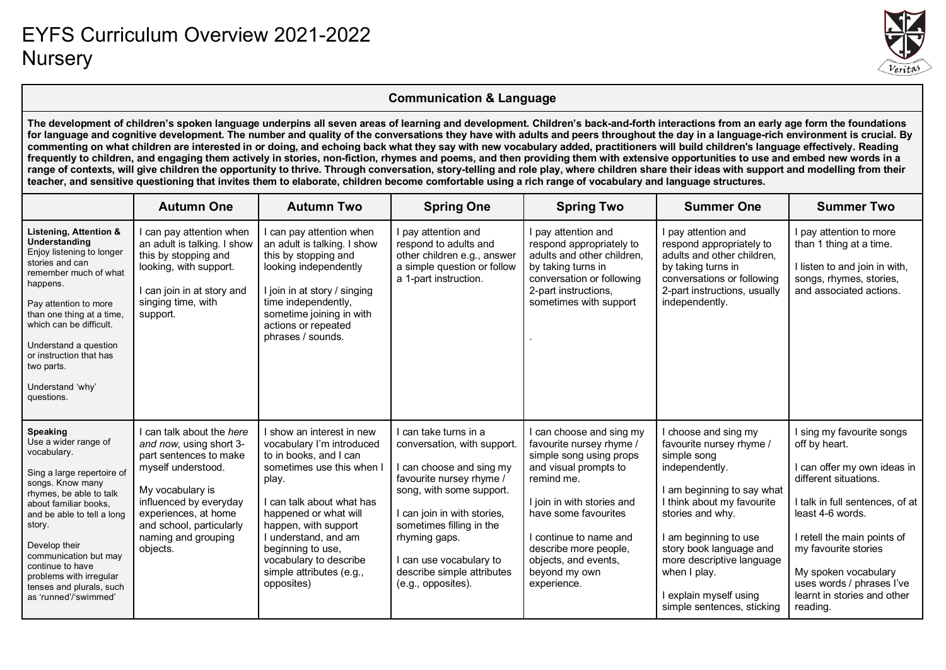

#### **Communication & Language**

**The development of children's spoken language underpins all seven areas of learning and development. Children's back-and-forth interactions from an early age form the foundations for language and cognitive development. The number and quality of the conversations they have with adults and peers throughout the day in a language-rich environment is crucial. By commenting on what children are interested in or doing, and echoing back what they say with new vocabulary added, practitioners will build children's language effectively. Reading frequently to children, and engaging them actively in stories, non-fiction, rhymes and poems, and then providing them with extensive opportunities to use and embed new words in a**  range of contexts, will give children the opportunity to thrive. Through conversation, story-telling and role play, where children share their ideas with support and modelling from their **teacher, and sensitive questioning that invites them to elaborate, children become comfortable using a rich range of vocabulary and language structures.**

|                                                                                                                                                                                                                                                                                                                                                    | <b>Autumn One</b>                                                                                                                                                                                                                         | <b>Autumn Two</b>                                                                                                                                                                                                                                                                                                 | <b>Spring One</b>                                                                                                                                                                                                                                                                                   | <b>Spring Two</b>                                                                                                                                                                                                                                                                       | <b>Summer One</b>                                                                                                                                                                                                                                                                                                          | <b>Summer Two</b>                                                                                                                                                                                                                                                                                              |
|----------------------------------------------------------------------------------------------------------------------------------------------------------------------------------------------------------------------------------------------------------------------------------------------------------------------------------------------------|-------------------------------------------------------------------------------------------------------------------------------------------------------------------------------------------------------------------------------------------|-------------------------------------------------------------------------------------------------------------------------------------------------------------------------------------------------------------------------------------------------------------------------------------------------------------------|-----------------------------------------------------------------------------------------------------------------------------------------------------------------------------------------------------------------------------------------------------------------------------------------------------|-----------------------------------------------------------------------------------------------------------------------------------------------------------------------------------------------------------------------------------------------------------------------------------------|----------------------------------------------------------------------------------------------------------------------------------------------------------------------------------------------------------------------------------------------------------------------------------------------------------------------------|----------------------------------------------------------------------------------------------------------------------------------------------------------------------------------------------------------------------------------------------------------------------------------------------------------------|
| Listening, Attention &<br>Understanding<br>Enjoy listening to longer<br>stories and can<br>remember much of what<br>happens.<br>Pay attention to more<br>than one thing at a time,<br>which can be difficult.<br>Understand a question<br>or instruction that has<br>two parts.<br>Understand 'why'<br>questions.                                  | I can pay attention when<br>an adult is talking. I show<br>this by stopping and<br>looking, with support.<br>I can join in at story and<br>singing time, with<br>support.                                                                 | can pay attention when<br>an adult is talking. I show<br>this by stopping and<br>looking independently<br>I join in at story / singing<br>time independently,<br>sometime joining in with<br>actions or repeated<br>phrases / sounds.                                                                             | I pay attention and<br>respond to adults and<br>other children e.g., answer<br>a simple question or follow<br>a 1-part instruction.                                                                                                                                                                 | I pay attention and<br>respond appropriately to<br>adults and other children,<br>by taking turns in<br>conversation or following<br>2-part instructions,<br>sometimes with support                                                                                                      | I pay attention and<br>respond appropriately to<br>adults and other children,<br>by taking turns in<br>conversations or following<br>2-part instructions, usually<br>independently.                                                                                                                                        | pay attention to more<br>than 1 thing at a time.<br>I listen to and join in with,<br>songs, rhymes, stories,<br>and associated actions.                                                                                                                                                                        |
| <b>Speaking</b><br>Use a wider range of<br>vocabulary.<br>Sing a large repertoire of<br>songs. Know many<br>rhymes, be able to talk<br>about familiar books.<br>and be able to tell a long<br>story.<br>Develop their<br>communication but may<br>continue to have<br>problems with irregular<br>tenses and plurals, such<br>as 'runned'/'swimmed' | I can talk about the here<br>and now, using short 3-<br>part sentences to make<br>myself understood.<br>My vocabulary is<br>influenced by everyday<br>experiences, at home<br>and school, particularly<br>naming and grouping<br>objects. | show an interest in new<br>vocabulary I'm introduced<br>to in books, and I can<br>sometimes use this when I<br>play.<br>can talk about what has<br>happened or what will<br>happen, with support<br>I understand, and am<br>beginning to use,<br>vocabulary to describe<br>simple attributes (e.g.,<br>opposites) | I can take turns in a<br>conversation, with support.<br>I can choose and sing my<br>favourite nursey rhyme /<br>song, with some support.<br>I can join in with stories,<br>sometimes filling in the<br>rhyming gaps.<br>I can use vocabulary to<br>describe simple attributes<br>(e.g., opposites). | I can choose and sing my<br>favourite nursey rhyme /<br>simple song using props<br>and visual prompts to<br>remind me.<br>I join in with stories and<br>have some favourites<br>I continue to name and<br>describe more people,<br>objects, and events,<br>beyond my own<br>experience. | I choose and sing my<br>favourite nursey rhyme /<br>simple song<br>independently.<br>I am beginning to say what<br>I think about my favourite<br>stories and why.<br>I am beginning to use<br>story book language and<br>more descriptive language<br>when I play.<br>I explain myself using<br>simple sentences, sticking | I sing my favourite songs<br>off by heart.<br>can offer my own ideas in<br>different situations.<br>I talk in full sentences, of at<br>least 4-6 words.<br>I retell the main points of<br>my favourite stories<br>My spoken vocabulary<br>uses words / phrases I've<br>learnt in stories and other<br>reading. |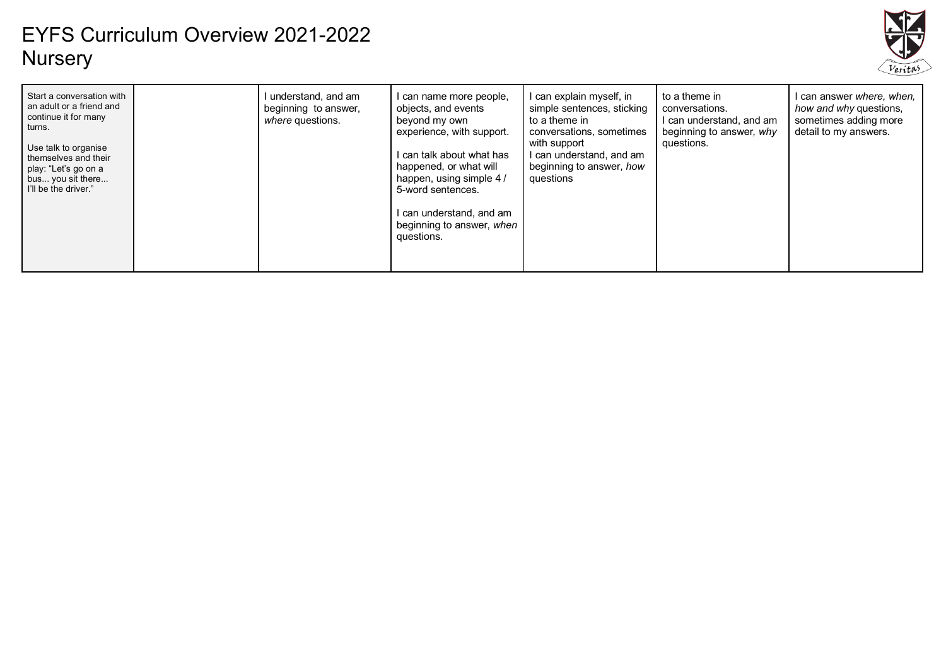

| Start a conversation with<br>understand, and am<br>I can name more people,<br>an adult or a friend and<br>objects, and events<br>beginning to answer,<br>continue it for many<br>where questions.<br>beyond my own<br>turns.<br>experience, with support.<br>Use talk to organise<br>I can talk about what has<br>themselves and their<br>happened, or what will<br>play: "Let's go on a<br>happen, using simple 4/<br>bus you sit there<br>I'll be the driver."<br>5-word sentences.<br>I can understand, and am<br>beginning to answer, when<br>questions. | can explain myself, in<br>simple sentences, sticking<br>to a theme in<br>conversations, sometimes<br>with support<br>can understand, and am<br>beginning to answer, how<br>questions | to a theme in<br>conversations.<br>can understand, and am<br>beginning to answer, why<br>questions. | l can answer <i>where, when,</i><br>how and why questions,<br>sometimes adding more<br>detail to my answers. |
|--------------------------------------------------------------------------------------------------------------------------------------------------------------------------------------------------------------------------------------------------------------------------------------------------------------------------------------------------------------------------------------------------------------------------------------------------------------------------------------------------------------------------------------------------------------|--------------------------------------------------------------------------------------------------------------------------------------------------------------------------------------|-----------------------------------------------------------------------------------------------------|--------------------------------------------------------------------------------------------------------------|
|--------------------------------------------------------------------------------------------------------------------------------------------------------------------------------------------------------------------------------------------------------------------------------------------------------------------------------------------------------------------------------------------------------------------------------------------------------------------------------------------------------------------------------------------------------------|--------------------------------------------------------------------------------------------------------------------------------------------------------------------------------------|-----------------------------------------------------------------------------------------------------|--------------------------------------------------------------------------------------------------------------|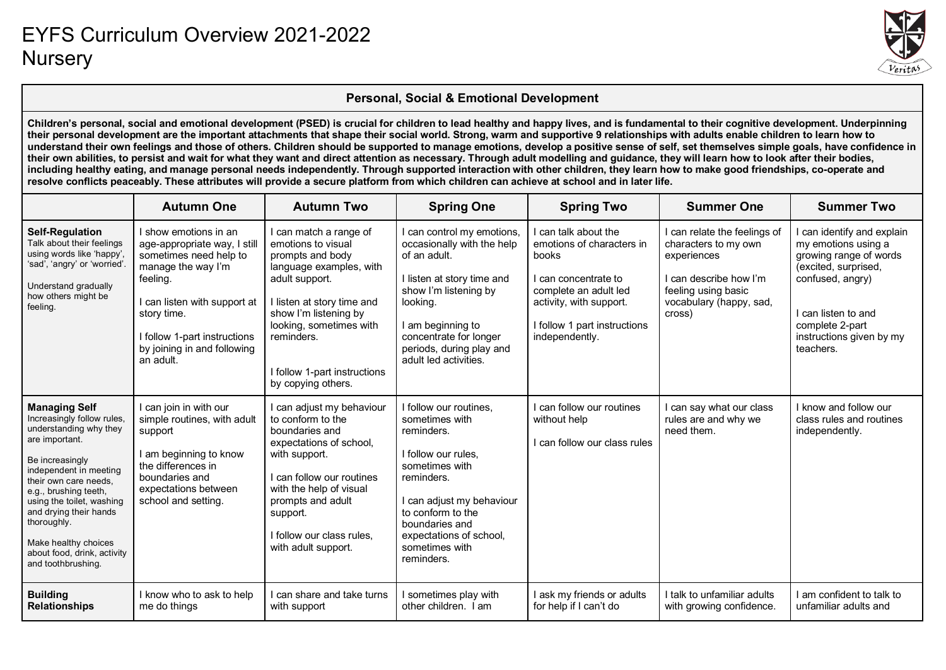

#### **Personal, Social & Emotional Development**

**Children's personal, social and emotional development (PSED) is crucial for children to lead healthy and happy lives, and is fundamental to their cognitive development. Underpinning their personal development are the important attachments that shape their social world. Strong, warm and supportive 9 relationships with adults enable children to learn how to understand their own feelings and those of others. Children should be supported to manage emotions, develop a positive sense of self, set themselves simple goals, have confidence in their own abilities, to persist and wait for what they want and direct attention as necessary. Through adult modelling and guidance, they will learn how to look after their bodies, including healthy eating, and manage personal needs independently. Through supported interaction with other children, they learn how to make good friendships, co-operate and resolve conflicts peaceably. These attributes will provide a secure platform from which children can achieve at school and in later life.**

|                                                                                                                                                                                                                                                                                                                                                  | <b>Autumn One</b>                                                                                                                                                                                                                            | <b>Autumn Two</b>                                                                                                                                                                                                                                                   | <b>Spring One</b>                                                                                                                                                                                                                               | <b>Spring Two</b>                                                                                                                                                                    | <b>Summer One</b>                                                                                                                                         | <b>Summer Two</b>                                                                                                                                                                                          |
|--------------------------------------------------------------------------------------------------------------------------------------------------------------------------------------------------------------------------------------------------------------------------------------------------------------------------------------------------|----------------------------------------------------------------------------------------------------------------------------------------------------------------------------------------------------------------------------------------------|---------------------------------------------------------------------------------------------------------------------------------------------------------------------------------------------------------------------------------------------------------------------|-------------------------------------------------------------------------------------------------------------------------------------------------------------------------------------------------------------------------------------------------|--------------------------------------------------------------------------------------------------------------------------------------------------------------------------------------|-----------------------------------------------------------------------------------------------------------------------------------------------------------|------------------------------------------------------------------------------------------------------------------------------------------------------------------------------------------------------------|
| <b>Self-Regulation</b><br>Talk about their feelings<br>using words like 'happy',<br>'sad', 'angry' or 'worried'.<br>Understand gradually<br>how others might be<br>feeling.                                                                                                                                                                      | I show emotions in an<br>age-appropriate way, I still<br>sometimes need help to<br>manage the way I'm<br>feeling.<br>I can listen with support at<br>story time.<br>I follow 1-part instructions<br>by joining in and following<br>an adult. | I can match a range of<br>emotions to visual<br>prompts and body<br>language examples, with<br>adult support.<br>I listen at story time and<br>show I'm listening by<br>looking, sometimes with<br>reminders.<br>I follow 1-part instructions<br>by copying others. | I can control my emotions,<br>occasionally with the help<br>of an adult.<br>I listen at story time and<br>show I'm listening by<br>looking.<br>I am beginning to<br>concentrate for longer<br>periods, during play and<br>adult led activities. | can talk about the<br>emotions of characters in<br>books<br>can concentrate to<br>complete an adult led<br>activity, with support.<br>I follow 1 part instructions<br>independently. | I can relate the feelings of<br>characters to my own<br>experiences<br>I can describe how I'm<br>feeling using basic<br>vocabulary (happy, sad,<br>cross) | I can identify and explain<br>my emotions using a<br>growing range of words<br>(excited, surprised,<br>confused, angry)<br>I can listen to and<br>complete 2-part<br>instructions given by my<br>teachers. |
| <b>Managing Self</b><br>Increasingly follow rules,<br>understanding why they<br>are important.<br>Be increasingly<br>independent in meeting<br>their own care needs.<br>e.g., brushing teeth,<br>using the toilet, washing<br>and drying their hands<br>thoroughly.<br>Make healthy choices<br>about food, drink, activity<br>and toothbrushing. | I can join in with our<br>simple routines, with adult<br>support<br>I am beginning to know<br>the differences in<br>boundaries and<br>expectations between<br>school and setting.                                                            | I can adjust my behaviour<br>to conform to the<br>boundaries and<br>expectations of school,<br>with support.<br>I can follow our routines<br>with the help of visual<br>prompts and adult<br>support.<br>I follow our class rules,<br>with adult support.           | I follow our routines,<br>sometimes with<br>reminders.<br>I follow our rules,<br>sometimes with<br>reminders.<br>I can adjust my behaviour<br>to conform to the<br>boundaries and<br>expectations of school,<br>sometimes with<br>reminders.    | can follow our routines<br>without help<br>can follow our class rules                                                                                                                | can say what our class<br>rules are and why we<br>need them.                                                                                              | I know and follow our<br>class rules and routines<br>independently.                                                                                                                                        |
| <b>Building</b><br><b>Relationships</b>                                                                                                                                                                                                                                                                                                          | I know who to ask to help<br>me do things                                                                                                                                                                                                    | I can share and take turns<br>with support                                                                                                                                                                                                                          | I sometimes play with<br>other children. I am                                                                                                                                                                                                   | ask my friends or adults<br>for help if I can't do                                                                                                                                   | I talk to unfamiliar adults<br>with growing confidence.                                                                                                   | I am confident to talk to<br>unfamiliar adults and                                                                                                                                                         |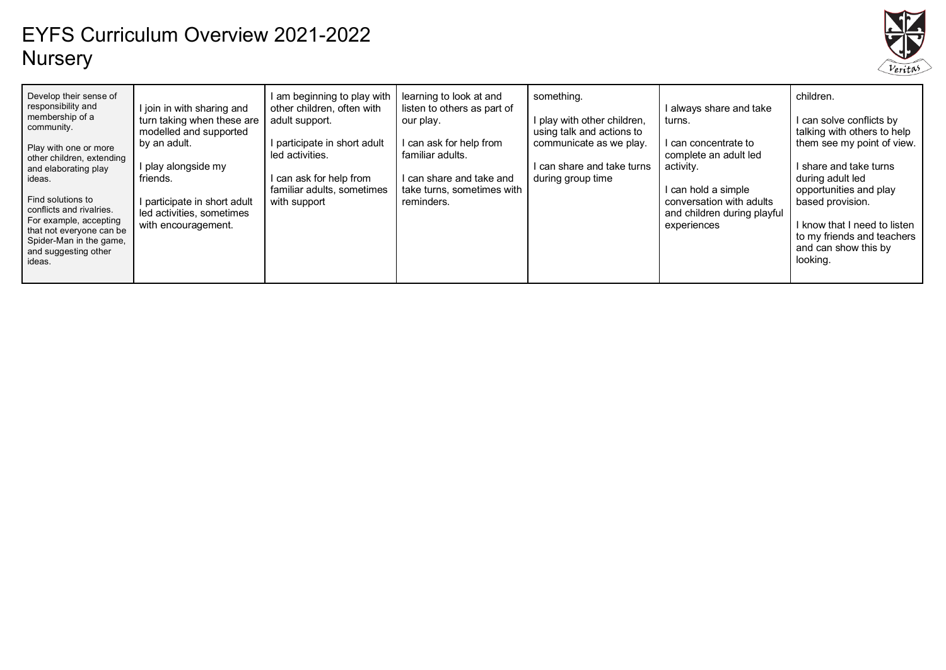

| Develop their sense of<br>responsibility and<br>I join in with sharing and<br>membership of a<br>turn taking when these are<br>adult support.<br>community.<br>modelled and supported<br>by an adult.<br>Play with one or more<br>led activities.<br>other children, extending<br>l play alongside my<br>and elaborating play<br>friends.<br>ideas.<br>Find solutions to<br>I participate in short adult<br>with support<br>conflicts and rivalries.<br>led activities, sometimes<br>For example, accepting<br>with encouragement.<br>that not everyone can be<br>Spider-Man in the game,<br>and suggesting other<br>ideas. | I am beginning to play with<br>learning to look at and<br>other children, often with<br>listen to others as part of<br>our play.<br>can ask for help from<br>I participate in short adult<br>familiar adults.<br>l can ask for help from<br>can share and take and<br>familiar adults, sometimes<br>take turns, sometimes with<br>reminders. | something.<br>play with other children,<br>using talk and actions to<br>communicate as we play.<br>can share and take turns<br>during group time | l always share and take<br>turns.<br>l can concentrate to<br>complete an adult led<br>activity.<br>l can hold a simple<br>conversation with adults<br>and children during playful<br>experiences | children.<br>I can solve conflicts by<br>talking with others to help<br>them see my point of view.<br>I share and take turns<br>during adult led<br>opportunities and play<br>based provision.<br>I know that I need to listen<br>to my friends and teachers<br>and can show this by<br>looking. |
|-----------------------------------------------------------------------------------------------------------------------------------------------------------------------------------------------------------------------------------------------------------------------------------------------------------------------------------------------------------------------------------------------------------------------------------------------------------------------------------------------------------------------------------------------------------------------------------------------------------------------------|----------------------------------------------------------------------------------------------------------------------------------------------------------------------------------------------------------------------------------------------------------------------------------------------------------------------------------------------|--------------------------------------------------------------------------------------------------------------------------------------------------|--------------------------------------------------------------------------------------------------------------------------------------------------------------------------------------------------|--------------------------------------------------------------------------------------------------------------------------------------------------------------------------------------------------------------------------------------------------------------------------------------------------|
|-----------------------------------------------------------------------------------------------------------------------------------------------------------------------------------------------------------------------------------------------------------------------------------------------------------------------------------------------------------------------------------------------------------------------------------------------------------------------------------------------------------------------------------------------------------------------------------------------------------------------------|----------------------------------------------------------------------------------------------------------------------------------------------------------------------------------------------------------------------------------------------------------------------------------------------------------------------------------------------|--------------------------------------------------------------------------------------------------------------------------------------------------|--------------------------------------------------------------------------------------------------------------------------------------------------------------------------------------------------|--------------------------------------------------------------------------------------------------------------------------------------------------------------------------------------------------------------------------------------------------------------------------------------------------|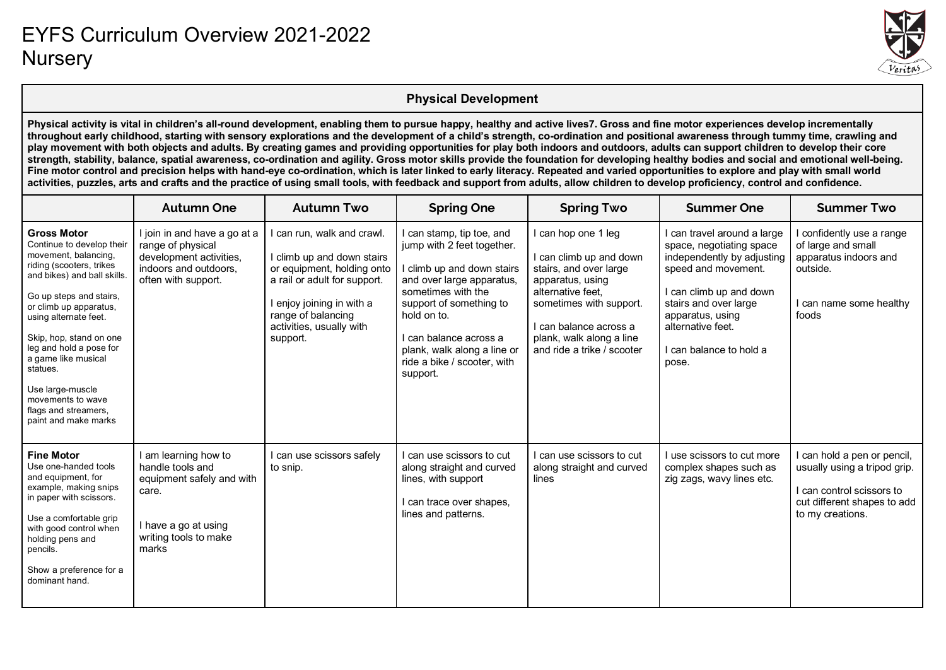

#### **Physical Development**

**Physical activity is vital in children's all-round development, enabling them to pursue happy, healthy and active lives7. Gross and fine motor experiences develop incrementally throughout early childhood, starting with sensory explorations and the development of a child's strength, co-ordination and positional awareness through tummy time, crawling and play movement with both objects and adults. By creating games and providing opportunities for play both indoors and outdoors, adults can support children to develop their core**  strength, stability, balance, spatial awareness, co-ordination and agility. Gross motor skills provide the foundation for developing healthy bodies and social and emotional well-being. Fine motor control and precision helps with hand-eye co-ordination, which is later linked to early literacy. Repeated and varied opportunities to explore and play with small world **activities, puzzles, arts and crafts and the practice of using small tools, with feedback and support from adults, allow children to develop proficiency, control and confidence.**

|                                                                                                                                                                                                                                                                                                                                                                                                    | <b>Autumn One</b>                                                                                                                        | <b>Autumn Two</b>                                                                                                                                                                                               | <b>Spring One</b>                                                                                                                                                                                                                                                                     | <b>Spring Two</b>                                                                                                                                                                                                                | <b>Summer One</b>                                                                                                                                                                                                                       | <b>Summer Two</b>                                                                                                                       |
|----------------------------------------------------------------------------------------------------------------------------------------------------------------------------------------------------------------------------------------------------------------------------------------------------------------------------------------------------------------------------------------------------|------------------------------------------------------------------------------------------------------------------------------------------|-----------------------------------------------------------------------------------------------------------------------------------------------------------------------------------------------------------------|---------------------------------------------------------------------------------------------------------------------------------------------------------------------------------------------------------------------------------------------------------------------------------------|----------------------------------------------------------------------------------------------------------------------------------------------------------------------------------------------------------------------------------|-----------------------------------------------------------------------------------------------------------------------------------------------------------------------------------------------------------------------------------------|-----------------------------------------------------------------------------------------------------------------------------------------|
| <b>Gross Motor</b><br>Continue to develop their<br>movement, balancing,<br>riding (scooters, trikes<br>and bikes) and ball skills.<br>Go up steps and stairs,<br>or climb up apparatus,<br>using alternate feet.<br>Skip, hop, stand on one<br>leg and hold a pose for<br>a game like musical<br>statues.<br>Use large-muscle<br>movements to wave<br>flags and streamers,<br>paint and make marks | I join in and have a go at a<br>range of physical<br>development activities,<br>indoors and outdoors,<br>often with support.             | can run, walk and crawl.<br>I climb up and down stairs<br>or equipment, holding onto<br>a rail or adult for support.<br>I enjoy joining in with a<br>range of balancing<br>activities, usually with<br>support. | I can stamp, tip toe, and<br>jump with 2 feet together.<br>I climb up and down stairs<br>and over large apparatus,<br>sometimes with the<br>support of something to<br>hold on to.<br>Lcan balance across a<br>plank, walk along a line or<br>ride a bike / scooter, with<br>support. | I can hop one 1 leg<br>I can climb up and down<br>stairs, and over large<br>apparatus, using<br>alternative feet.<br>sometimes with support.<br>l can balance across a<br>plank, walk along a line<br>and ride a trike / scooter | can travel around a large<br>space, negotiating space<br>independently by adjusting<br>speed and movement.<br>can climb up and down<br>stairs and over large<br>apparatus, using<br>alternative feet.<br>can balance to hold a<br>pose. | confidently use a range<br>of large and small<br>apparatus indoors and<br>outside.<br>can name some healthy<br>foods                    |
| <b>Fine Motor</b><br>Use one-handed tools<br>and equipment, for<br>example, making snips<br>in paper with scissors.<br>Use a comfortable grip<br>with good control when<br>holding pens and<br>pencils.<br>Show a preference for a<br>dominant hand.                                                                                                                                               | I am learning how to<br>handle tools and<br>equipment safely and with<br>care.<br>I have a go at using<br>writing tools to make<br>marks | can use scissors safely<br>to snip.                                                                                                                                                                             | can use scissors to cut<br>along straight and curved<br>lines, with support<br>I can trace over shapes,<br>lines and patterns.                                                                                                                                                        | I can use scissors to cut<br>along straight and curved<br>lines                                                                                                                                                                  | use scissors to cut more<br>complex shapes such as<br>zig zags, wavy lines etc.                                                                                                                                                         | can hold a pen or pencil,<br>usually using a tripod grip.<br>can control scissors to<br>cut different shapes to add<br>to my creations. |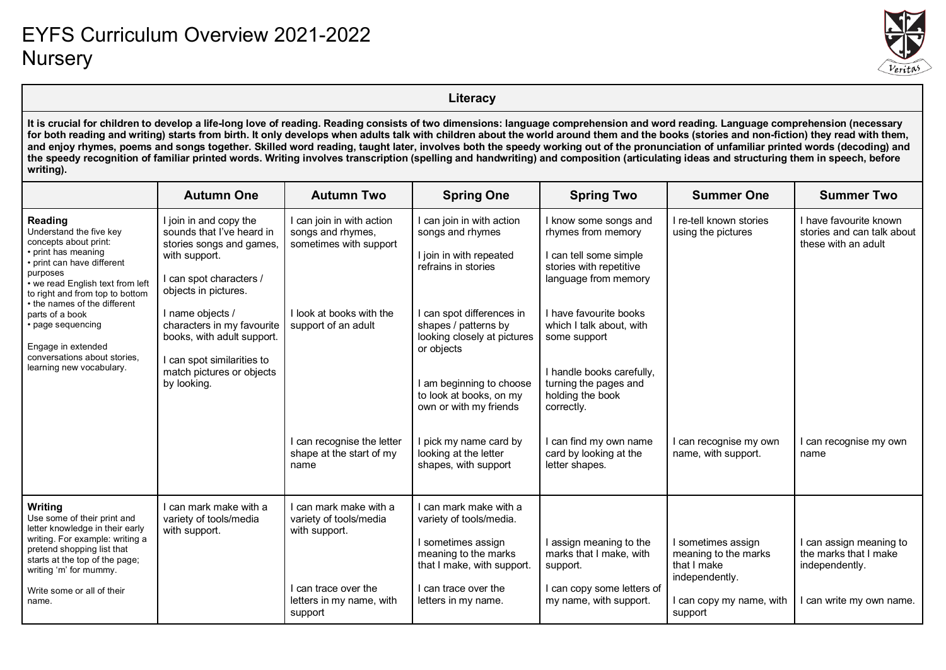

**Literacy**

**It is crucial for children to develop a life-long love of reading. Reading consists of two dimensions: language comprehension and word reading. Language comprehension (necessary**  for both reading and writing) starts from birth. It only develops when adults talk with children about the world around them and the books (stories and non-fiction) they read with them, **and enjoy rhymes, poems and songs together. Skilled word reading, taught later, involves both the speedy working out of the pronunciation of unfamiliar printed words (decoding) and the speedy recognition of familiar printed words. Writing involves transcription (spelling and handwriting) and composition (articulating ideas and structuring them in speech, before writing).**

|                                                                                                                                                                                                                                     | <b>Autumn One</b>                                                                                                                                   | <b>Autumn Two</b>                                                        | <b>Spring One</b>                                                                              | <b>Spring Two</b>                                                                                                        | <b>Summer One</b>                                                         | <b>Summer Two</b>                                                           |
|-------------------------------------------------------------------------------------------------------------------------------------------------------------------------------------------------------------------------------------|-----------------------------------------------------------------------------------------------------------------------------------------------------|--------------------------------------------------------------------------|------------------------------------------------------------------------------------------------|--------------------------------------------------------------------------------------------------------------------------|---------------------------------------------------------------------------|-----------------------------------------------------------------------------|
| Reading<br>Understand the five key<br>concepts about print:<br>• print has meaning<br>• print can have different<br>purposes<br>• we read English text from left<br>to right and from top to bottom<br>• the names of the different | I join in and copy the<br>sounds that I've heard in<br>stories songs and games,<br>with support.<br>I can spot characters /<br>objects in pictures. | I can join in with action<br>songs and rhymes,<br>sometimes with support | can join in with action<br>songs and rhymes<br>I join in with repeated<br>refrains in stories  | I know some songs and<br>rhymes from memory<br>I can tell some simple<br>stories with repetitive<br>language from memory | I re-tell known stories<br>using the pictures                             | I have favourite known<br>stories and can talk about<br>these with an adult |
| parts of a book<br>• page sequencing<br>Engage in extended<br>conversations about stories.                                                                                                                                          | I name objects /<br>characters in my favourite<br>books, with adult support.<br>I can spot similarities to                                          | I look at books with the<br>support of an adult                          | I can spot differences in<br>shapes / patterns by<br>looking closely at pictures<br>or objects | I have favourite books<br>which I talk about, with<br>some support                                                       |                                                                           |                                                                             |
| learning new vocabulary.                                                                                                                                                                                                            | match pictures or objects<br>by looking.                                                                                                            |                                                                          | am beginning to choose<br>to look at books, on my<br>own or with my friends                    | I handle books carefully,<br>turning the pages and<br>holding the book<br>correctly.                                     |                                                                           |                                                                             |
|                                                                                                                                                                                                                                     |                                                                                                                                                     | can recognise the letter<br>shape at the start of my<br>name             | I pick my name card by<br>looking at the letter<br>shapes, with support                        | I can find my own name<br>card by looking at the<br>letter shapes.                                                       | l can recognise my own<br>name, with support.                             | can recognise my own<br>name                                                |
| Writing<br>Use some of their print and<br>letter knowledge in their early                                                                                                                                                           | I can mark make with a<br>variety of tools/media<br>with support.                                                                                   | I can mark make with a<br>variety of tools/media<br>with support.        | l can mark make with a<br>variety of tools/media.                                              |                                                                                                                          |                                                                           |                                                                             |
| writing. For example: writing a<br>pretend shopping list that<br>starts at the top of the page;<br>writing 'm' for mummy.                                                                                                           |                                                                                                                                                     |                                                                          | I sometimes assign<br>meaning to the marks<br>that I make, with support.                       | I assign meaning to the<br>marks that I make, with<br>support.                                                           | sometimes assign<br>meaning to the marks<br>that I make<br>independently. | I can assign meaning to<br>the marks that I make<br>independently.          |
| Write some or all of their<br>name.                                                                                                                                                                                                 |                                                                                                                                                     | can trace over the<br>letters in my name, with<br>support                | I can trace over the<br>letters in my name.                                                    | I can copy some letters of<br>my name, with support.                                                                     | I can copy my name, with<br>support                                       | can write my own name.                                                      |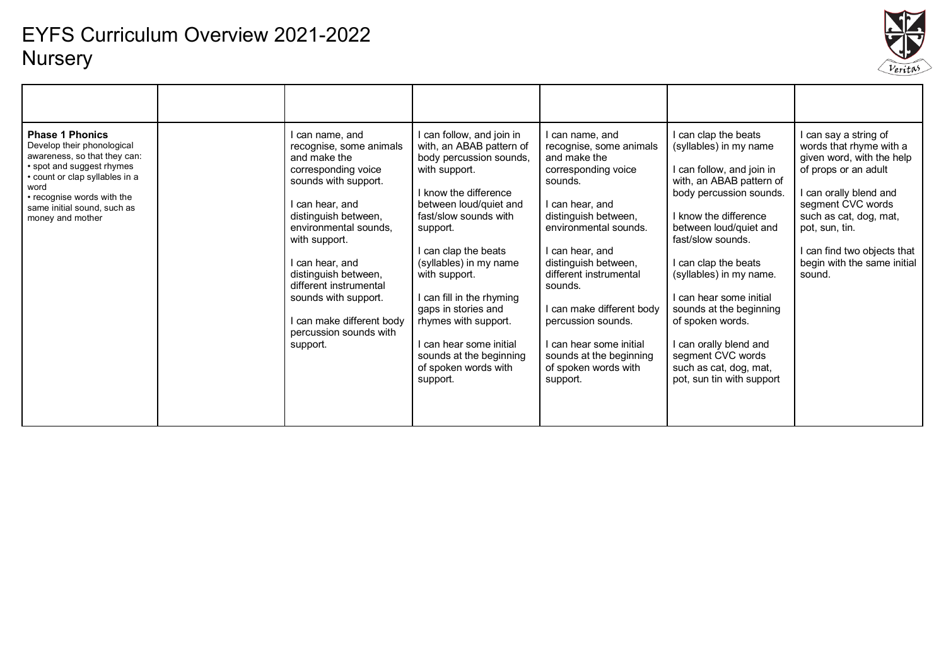

| <b>Phase 1 Phonics</b><br>Develop their phonological<br>awareness, so that they can:<br>• spot and suggest rhymes<br>count or clap syllables in a<br>word<br>• recognise words with the<br>same initial sound, such as<br>money and mother | can name, and<br>recognise, some animals<br>and make the<br>corresponding voice<br>sounds with support.<br>can hear, and<br>distinguish between,<br>environmental sounds.<br>with support.<br>I can hear, and<br>distinguish between,<br>different instrumental<br>sounds with support.<br>can make different body<br>percussion sounds with<br>support. | I can follow, and join in<br>with, an ABAB pattern of<br>body percussion sounds,<br>with support.<br>I know the difference<br>between loud/quiet and<br>fast/slow sounds with<br>support.<br>I can clap the beats<br>(syllables) in my name<br>with support.<br>I can fill in the rhyming<br>gaps in stories and<br>rhymes with support.<br>I can hear some initial<br>sounds at the beginning<br>of spoken words with<br>support. | l can name, and<br>recognise, some animals<br>and make the<br>corresponding voice<br>sounds.<br>I can hear, and<br>distinguish between,<br>environmental sounds.<br>I can hear, and<br>distinguish between,<br>different instrumental<br>sounds.<br>l can make different body<br>percussion sounds.<br>I can hear some initial<br>sounds at the beginning<br>of spoken words with<br>support. | I can clap the beats<br>(syllables) in my name<br>can follow, and join in<br>with, an ABAB pattern of<br>body percussion sounds.<br>I know the difference<br>between loud/quiet and<br>fast/slow sounds.<br>can clap the beats<br>(syllables) in my name.<br>I can hear some initial<br>sounds at the beginning<br>of spoken words.<br>I can orally blend and<br>segment CVC words<br>such as cat, dog, mat,<br>pot, sun tin with support | I can say a string of<br>words that rhyme with a<br>given word, with the help<br>of props or an adult<br>can orally blend and<br>segment CVC words<br>such as cat, dog, mat,<br>pot, sun, tin.<br>can find two objects that<br>begin with the same initial<br>sound. |
|--------------------------------------------------------------------------------------------------------------------------------------------------------------------------------------------------------------------------------------------|----------------------------------------------------------------------------------------------------------------------------------------------------------------------------------------------------------------------------------------------------------------------------------------------------------------------------------------------------------|------------------------------------------------------------------------------------------------------------------------------------------------------------------------------------------------------------------------------------------------------------------------------------------------------------------------------------------------------------------------------------------------------------------------------------|-----------------------------------------------------------------------------------------------------------------------------------------------------------------------------------------------------------------------------------------------------------------------------------------------------------------------------------------------------------------------------------------------|-------------------------------------------------------------------------------------------------------------------------------------------------------------------------------------------------------------------------------------------------------------------------------------------------------------------------------------------------------------------------------------------------------------------------------------------|----------------------------------------------------------------------------------------------------------------------------------------------------------------------------------------------------------------------------------------------------------------------|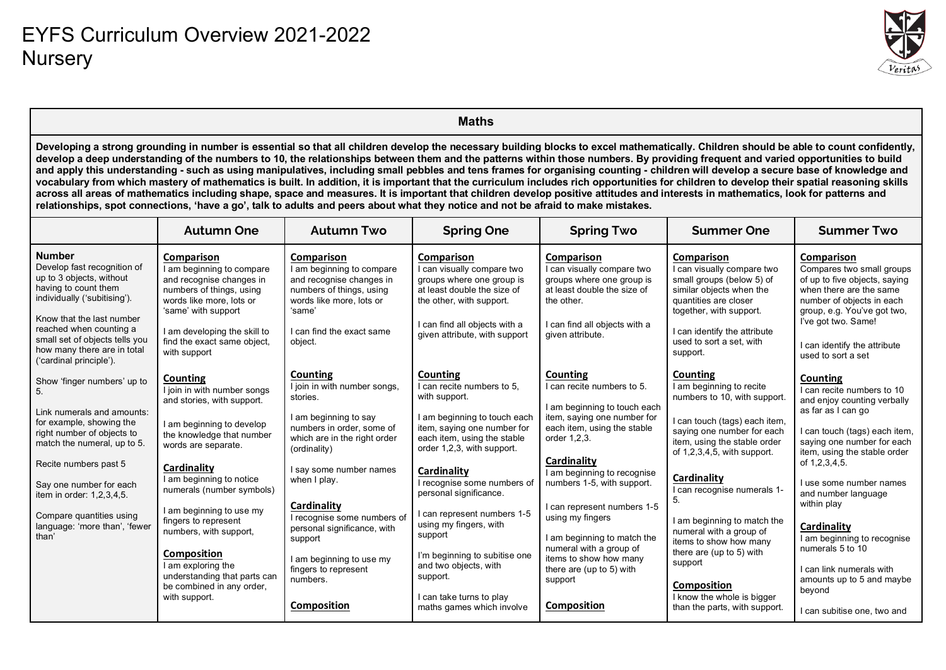

|                                                                                                                                                                                                                                                                                                                                                                                                                                                                                                                                                                                                                                                                                                                                                                                                                                                                                                                                                                                                                                                                                          | <b>Maths</b>                                                                                                                                                                                                      |                                                                                                                                                                                      |                                                                                                                                                                                                    |                                                                                                                                                                         |                                                                                                                                                                                                                   |                                                                                                                                                                                                                        |  |  |
|------------------------------------------------------------------------------------------------------------------------------------------------------------------------------------------------------------------------------------------------------------------------------------------------------------------------------------------------------------------------------------------------------------------------------------------------------------------------------------------------------------------------------------------------------------------------------------------------------------------------------------------------------------------------------------------------------------------------------------------------------------------------------------------------------------------------------------------------------------------------------------------------------------------------------------------------------------------------------------------------------------------------------------------------------------------------------------------|-------------------------------------------------------------------------------------------------------------------------------------------------------------------------------------------------------------------|--------------------------------------------------------------------------------------------------------------------------------------------------------------------------------------|----------------------------------------------------------------------------------------------------------------------------------------------------------------------------------------------------|-------------------------------------------------------------------------------------------------------------------------------------------------------------------------|-------------------------------------------------------------------------------------------------------------------------------------------------------------------------------------------------------------------|------------------------------------------------------------------------------------------------------------------------------------------------------------------------------------------------------------------------|--|--|
| Developing a strong grounding in number is essential so that all children develop the necessary building blocks to excel mathematically. Children should be able to count confidently,<br>develop a deep understanding of the numbers to 10, the relationships between them and the patterns within those numbers. By providing frequent and varied opportunities to build<br>and apply this understanding - such as using manipulatives, including small pebbles and tens frames for organising counting - children will develop a secure base of knowledge and<br>vocabulary from which mastery of mathematics is built. In addition, it is important that the curriculum includes rich opportunities for children to develop their spatial reasoning skills<br>across all areas of mathematics including shape, space and measures. It is important that children develop positive attitudes and interests in mathematics, look for patterns and<br>relationships, spot connections, 'have a go', talk to adults and peers about what they notice and not be afraid to make mistakes. |                                                                                                                                                                                                                   |                                                                                                                                                                                      |                                                                                                                                                                                                    |                                                                                                                                                                         |                                                                                                                                                                                                                   |                                                                                                                                                                                                                        |  |  |
|                                                                                                                                                                                                                                                                                                                                                                                                                                                                                                                                                                                                                                                                                                                                                                                                                                                                                                                                                                                                                                                                                          | <b>Autumn One</b>                                                                                                                                                                                                 | <b>Autumn Two</b>                                                                                                                                                                    | <b>Spring One</b>                                                                                                                                                                                  | <b>Spring Two</b>                                                                                                                                                       | <b>Summer One</b>                                                                                                                                                                                                 | <b>Summer Two</b>                                                                                                                                                                                                      |  |  |
| <b>Number</b><br>Develop fast recognition of<br>up to 3 objects, without<br>having to count them<br>individually ('subitising').<br>Know that the last number<br>reached when counting a<br>small set of objects tells you                                                                                                                                                                                                                                                                                                                                                                                                                                                                                                                                                                                                                                                                                                                                                                                                                                                               | Comparison<br>I am beginning to compare<br>and recognise changes in<br>numbers of things, using<br>words like more, lots or<br>'same' with support<br>I am developing the skill to<br>find the exact same object, | <b>Comparison</b><br>I am beginning to compare<br>and recognise changes in<br>numbers of things, using<br>words like more, lots or<br>'same'<br>I can find the exact same<br>object. | Comparison<br>I can visually compare two<br>groups where one group is<br>at least double the size of<br>the other, with support.<br>I can find all objects with a<br>given attribute, with support | Comparison<br>I can visually compare two<br>groups where one group is<br>at least double the size of<br>the other.<br>I can find all objects with a<br>given attribute. | Comparison<br>I can visually compare two<br>small groups (below 5) of<br>similar objects when the<br>quantities are closer<br>together, with support.<br>I can identify the attribute<br>used to sort a set, with | Comparison<br>Compares two small groups<br>of up to five objects, saying<br>when there are the same<br>number of objects in each<br>group, e.g. You've got two,<br>I've got two. Same!<br>I can identify the attribute |  |  |
| how many there are in total<br>('cardinal principle').<br>Show 'finger numbers' up to                                                                                                                                                                                                                                                                                                                                                                                                                                                                                                                                                                                                                                                                                                                                                                                                                                                                                                                                                                                                    | with support<br>Counting                                                                                                                                                                                          | Counting                                                                                                                                                                             | Counting                                                                                                                                                                                           | Counting                                                                                                                                                                | support.<br>Counting                                                                                                                                                                                              | used to sort a set<br>Counting                                                                                                                                                                                         |  |  |
| 5.<br>Link numerals and amounts:<br>for example, showing the<br>right number of objects to<br>match the numeral, up to 5.                                                                                                                                                                                                                                                                                                                                                                                                                                                                                                                                                                                                                                                                                                                                                                                                                                                                                                                                                                | I join in with number songs<br>and stories, with support.<br>I am beginning to develop<br>the knowledge that number<br>words are separate.                                                                        | I join in with number songs,<br>stories.<br>I am beginning to say<br>numbers in order, some of<br>which are in the right order<br>(ordinality)                                       | I can recite numbers to 5.<br>with support.<br>I am beginning to touch each<br>item, saying one number for<br>each item, using the stable<br>order 1,2,3, with support.                            | I can recite numbers to 5.<br>I am beginning to touch each<br>item, saying one number for<br>each item, using the stable<br>order 1,2,3.                                | I am beginning to recite<br>numbers to 10, with support.<br>I can touch (tags) each item,<br>saying one number for each<br>item, using the stable order                                                           | I can recite numbers to 10<br>and enjoy counting verbally<br>as far as I can go<br>I can touch (tags) each item,<br>saying one number for each                                                                         |  |  |
| Recite numbers past 5<br>Say one number for each<br>item in order: 1,2,3,4,5.                                                                                                                                                                                                                                                                                                                                                                                                                                                                                                                                                                                                                                                                                                                                                                                                                                                                                                                                                                                                            | Cardinality<br>I am beginning to notice<br>numerals (number symbols)<br>I am beginning to use my                                                                                                                  | I say some number names<br>when I play.<br>Cardinality                                                                                                                               | Cardinality<br>I recognise some numbers of<br>personal significance.                                                                                                                               | Cardinality<br>I am beginning to recognise<br>numbers 1-5, with support.<br>I can represent numbers 1-5                                                                 | of 1,2,3,4,5, with support.<br>Cardinality<br>I can recognise numerals 1-<br>5.                                                                                                                                   | item, using the stable order<br>of 1,2,3,4,5.<br>I use some number names<br>and number language<br>within play                                                                                                         |  |  |
| Compare quantities using<br>language: 'more than', 'fewer<br>than'                                                                                                                                                                                                                                                                                                                                                                                                                                                                                                                                                                                                                                                                                                                                                                                                                                                                                                                                                                                                                       | fingers to represent<br>numbers, with support,                                                                                                                                                                    | I recognise some numbers of<br>personal significance, with<br>support                                                                                                                | I can represent numbers 1-5<br>using my fingers, with<br>support                                                                                                                                   | using my fingers<br>I am beginning to match the<br>numeral with a group of                                                                                              | I am beginning to match the<br>numeral with a group of<br>items to show how many<br>there are (up to 5) with                                                                                                      | Cardinality<br>I am beginning to recognise<br>numerals 5 to 10                                                                                                                                                         |  |  |
|                                                                                                                                                                                                                                                                                                                                                                                                                                                                                                                                                                                                                                                                                                                                                                                                                                                                                                                                                                                                                                                                                          | <b>Composition</b><br>I am exploring the<br>understanding that parts can<br>be combined in any order,<br>with support.                                                                                            | I am beginning to use my<br>fingers to represent<br>numbers.                                                                                                                         | I'm beginning to subitise one<br>and two objects, with<br>support.<br>I can take turns to play                                                                                                     | items to show how many<br>there are (up to 5) with<br>support                                                                                                           | support<br>Composition<br>I know the whole is bigger                                                                                                                                                              | I can link numerals with<br>amounts up to 5 and maybe<br>beyond                                                                                                                                                        |  |  |
|                                                                                                                                                                                                                                                                                                                                                                                                                                                                                                                                                                                                                                                                                                                                                                                                                                                                                                                                                                                                                                                                                          |                                                                                                                                                                                                                   | Composition                                                                                                                                                                          | maths games which involve                                                                                                                                                                          | Composition                                                                                                                                                             | than the parts, with support.                                                                                                                                                                                     | I can subitise one, two and                                                                                                                                                                                            |  |  |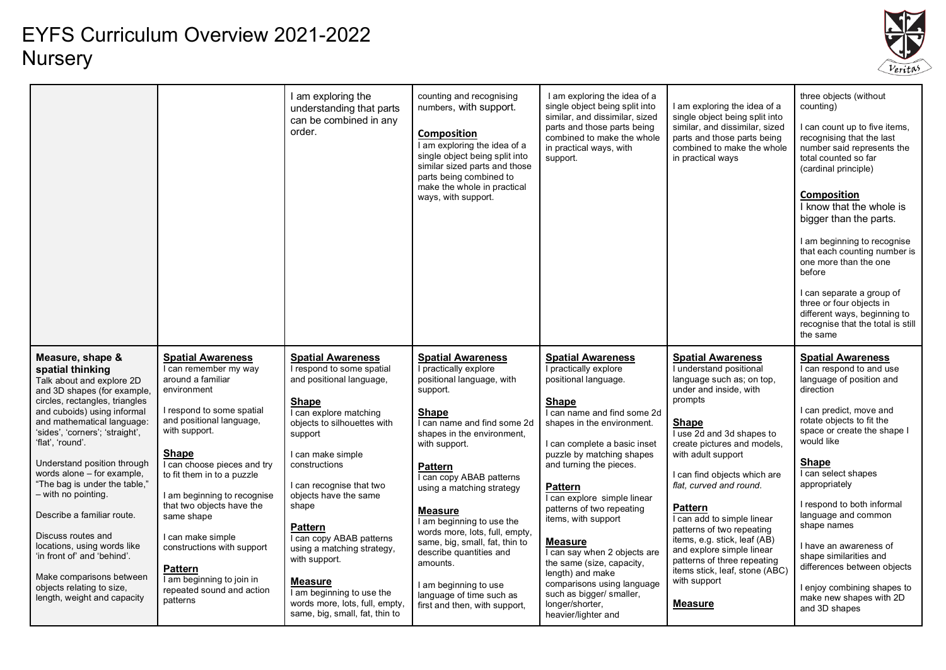

|                                                                                                                                                                                                                                                                                                                                                                                                                                                                                                                                                                                       |                                                                                                                                                                                                                                                                                                                                                                                                                                                                   | I am exploring the<br>understanding that parts<br>can be combined in any<br>order.                                                                                                                                                                                                                                                                                                                                                                                                        | counting and recognising<br>numbers, with support.<br>Composition<br>I am exploring the idea of a<br>single object being split into<br>similar sized parts and those<br>parts being combined to<br>make the whole in practical<br>ways, with support.                                                                                                                                                                                                                                                        | I am exploring the idea of a<br>single object being split into<br>similar, and dissimilar, sized<br>parts and those parts being<br>combined to make the whole<br>in practical ways, with<br>support.                                                                                                                                                                                                                                                                                                                                                | I am exploring the idea of a<br>single object being split into<br>similar, and dissimilar, sized<br>parts and those parts being<br>combined to make the whole<br>in practical ways                                                                                                                                                                                                                                                                                                                         | three objects (without<br>counting)<br>I can count up to five items,<br>recognising that the last<br>number said represents the<br>total counted so far<br>(cardinal principle)<br><b>Composition</b><br>I know that the whole is<br>bigger than the parts.<br>I am beginning to recognise<br>that each counting number is<br>one more than the one<br>before<br>I can separate a group of<br>three or four objects in<br>different ways, beginning to<br>recognise that the total is still<br>the same |
|---------------------------------------------------------------------------------------------------------------------------------------------------------------------------------------------------------------------------------------------------------------------------------------------------------------------------------------------------------------------------------------------------------------------------------------------------------------------------------------------------------------------------------------------------------------------------------------|-------------------------------------------------------------------------------------------------------------------------------------------------------------------------------------------------------------------------------------------------------------------------------------------------------------------------------------------------------------------------------------------------------------------------------------------------------------------|-------------------------------------------------------------------------------------------------------------------------------------------------------------------------------------------------------------------------------------------------------------------------------------------------------------------------------------------------------------------------------------------------------------------------------------------------------------------------------------------|--------------------------------------------------------------------------------------------------------------------------------------------------------------------------------------------------------------------------------------------------------------------------------------------------------------------------------------------------------------------------------------------------------------------------------------------------------------------------------------------------------------|-----------------------------------------------------------------------------------------------------------------------------------------------------------------------------------------------------------------------------------------------------------------------------------------------------------------------------------------------------------------------------------------------------------------------------------------------------------------------------------------------------------------------------------------------------|------------------------------------------------------------------------------------------------------------------------------------------------------------------------------------------------------------------------------------------------------------------------------------------------------------------------------------------------------------------------------------------------------------------------------------------------------------------------------------------------------------|---------------------------------------------------------------------------------------------------------------------------------------------------------------------------------------------------------------------------------------------------------------------------------------------------------------------------------------------------------------------------------------------------------------------------------------------------------------------------------------------------------|
| Measure, shape &<br>spatial thinking<br>Talk about and explore 2D<br>and 3D shapes (for example,<br>circles, rectangles, triangles<br>and cuboids) using informal<br>and mathematical language:<br>'sides', 'corners'; 'straight',<br>'flat', 'round'.<br>Understand position through<br>words alone - for example,<br>"The bag is under the table,"<br>- with no pointing.<br>Describe a familiar route.<br>Discuss routes and<br>locations, using words like<br>'in front of' and 'behind'.<br>Make comparisons between<br>objects relating to size,<br>length, weight and capacity | <b>Spatial Awareness</b><br>I can remember my way<br>around a familiar<br>environment<br>I respond to some spatial<br>and positional language,<br>with support.<br><b>Shape</b><br>I can choose pieces and try<br>to fit them in to a puzzle<br>I am beginning to recognise<br>that two objects have the<br>same shape<br>I can make simple<br>constructions with support<br><b>Pattern</b><br>I am beginning to join in<br>repeated sound and action<br>patterns | <b>Spatial Awareness</b><br>I respond to some spatial<br>and positional language,<br><b>Shape</b><br>I can explore matching<br>objects to silhouettes with<br>support<br>I can make simple<br>constructions<br>I can recognise that two<br>objects have the same<br>shape<br><b>Pattern</b><br>I can copy ABAB patterns<br>using a matching strategy,<br>with support.<br><b>Measure</b><br>I am beginning to use the<br>words more, lots, full, empty,<br>same, big, small, fat, thin to | <b>Spatial Awareness</b><br>I practically explore<br>positional language, with<br>support.<br><b>Shape</b><br>I can name and find some 2d<br>shapes in the environment.<br>with support.<br><b>Pattern</b><br>I can copy ABAB patterns<br>using a matching strategy<br>Measure<br>I am beginning to use the<br>words more, lots, full, empty,<br>same, big, small, fat, thin to<br>describe quantities and<br>amounts.<br>I am beginning to use<br>language of time such as<br>first and then, with support, | <b>Spatial Awareness</b><br>I practically explore<br>positional language.<br><b>Shape</b><br>I can name and find some 2d<br>shapes in the environment.<br>I can complete a basic inset<br>puzzle by matching shapes<br>and turning the pieces.<br><b>Pattern</b><br>I can explore simple linear<br>patterns of two repeating<br>items, with support<br>Measure<br>I can say when 2 objects are<br>the same (size, capacity,<br>length) and make<br>comparisons using language<br>such as bigger/ smaller,<br>longer/shorter,<br>heavier/lighter and | <b>Spatial Awareness</b><br>I understand positional<br>language such as; on top,<br>under and inside, with<br>prompts<br>Shape<br>I use 2d and 3d shapes to<br>create pictures and models,<br>with adult support<br>I can find objects which are<br>flat, curved and round.<br>Pattern<br>I can add to simple linear<br>patterns of two repeating<br>items, e.g. stick, leaf (AB)<br>and explore simple linear<br>patterns of three repeating<br>items stick, leaf, stone (ABC)<br>with support<br>Measure | <b>Spatial Awareness</b><br>I can respond to and use<br>language of position and<br>direction<br>I can predict, move and<br>rotate objects to fit the<br>space or create the shape I<br>would like<br><b>Shape</b><br>I can select shapes<br>appropriately<br>I respond to both informal<br>language and common<br>shape names<br>I have an awareness of<br>shape similarities and<br>differences between objects<br>I enjoy combining shapes to<br>make new shapes with 2D<br>and 3D shapes            |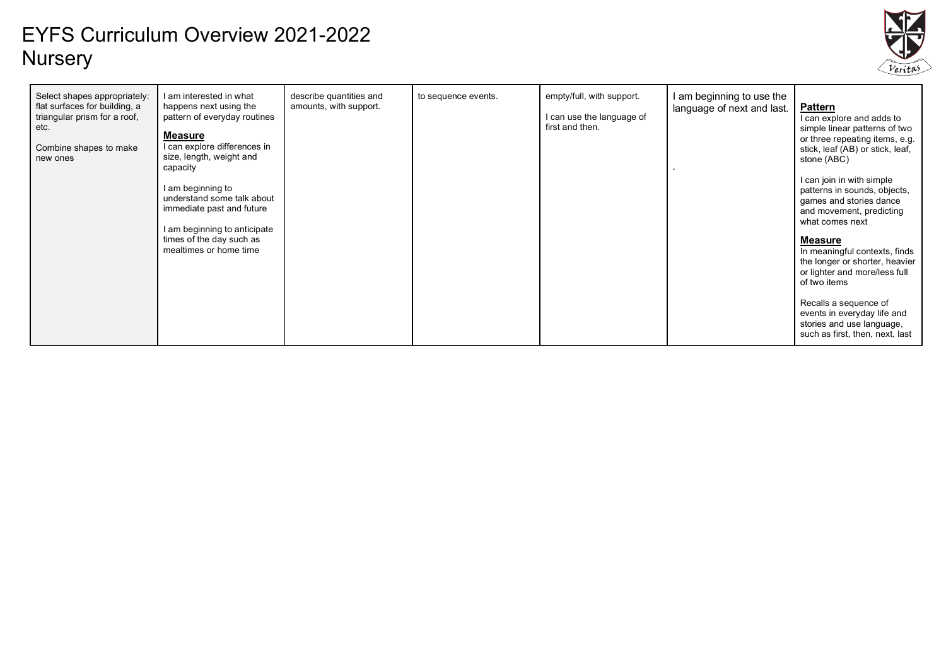

| Select shapes appropriately:<br>flat surfaces for building, a<br>triangular prism for a roof,<br>etc.<br>Combine shapes to make<br>new ones | I am interested in what<br>happens next using the<br>pattern of everyday routines<br><b>Measure</b><br>I can explore differences in<br>size, length, weight and<br>capacity<br>I am beginning to<br>understand some talk about<br>immediate past and future<br>I am beginning to anticipate<br>times of the day such as<br>mealtimes or home time | describe quantities and<br>amounts, with support. | to sequence events. | empty/full, with support.<br>I can use the language of<br>first and then. | am beginning to use the<br>language of next and last. | <b>Pattern</b><br>I can explore and adds to<br>simple linear patterns of two<br>or three repeating items, e.g.<br>stick, leaf (AB) or stick, leaf,<br>stone (ABC)<br>I can join in with simple<br>patterns in sounds, objects,<br>games and stories dance<br>and movement, predicting<br>what comes next<br><u>Measure</u><br>In meaningful contexts, finds<br>the longer or shorter, heavier<br>or lighter and more/less full<br>of two items<br>Recalls a sequence of<br>events in everyday life and<br>stories and use language,<br>such as first, then, next, last |
|---------------------------------------------------------------------------------------------------------------------------------------------|---------------------------------------------------------------------------------------------------------------------------------------------------------------------------------------------------------------------------------------------------------------------------------------------------------------------------------------------------|---------------------------------------------------|---------------------|---------------------------------------------------------------------------|-------------------------------------------------------|------------------------------------------------------------------------------------------------------------------------------------------------------------------------------------------------------------------------------------------------------------------------------------------------------------------------------------------------------------------------------------------------------------------------------------------------------------------------------------------------------------------------------------------------------------------------|
|---------------------------------------------------------------------------------------------------------------------------------------------|---------------------------------------------------------------------------------------------------------------------------------------------------------------------------------------------------------------------------------------------------------------------------------------------------------------------------------------------------|---------------------------------------------------|---------------------|---------------------------------------------------------------------------|-------------------------------------------------------|------------------------------------------------------------------------------------------------------------------------------------------------------------------------------------------------------------------------------------------------------------------------------------------------------------------------------------------------------------------------------------------------------------------------------------------------------------------------------------------------------------------------------------------------------------------------|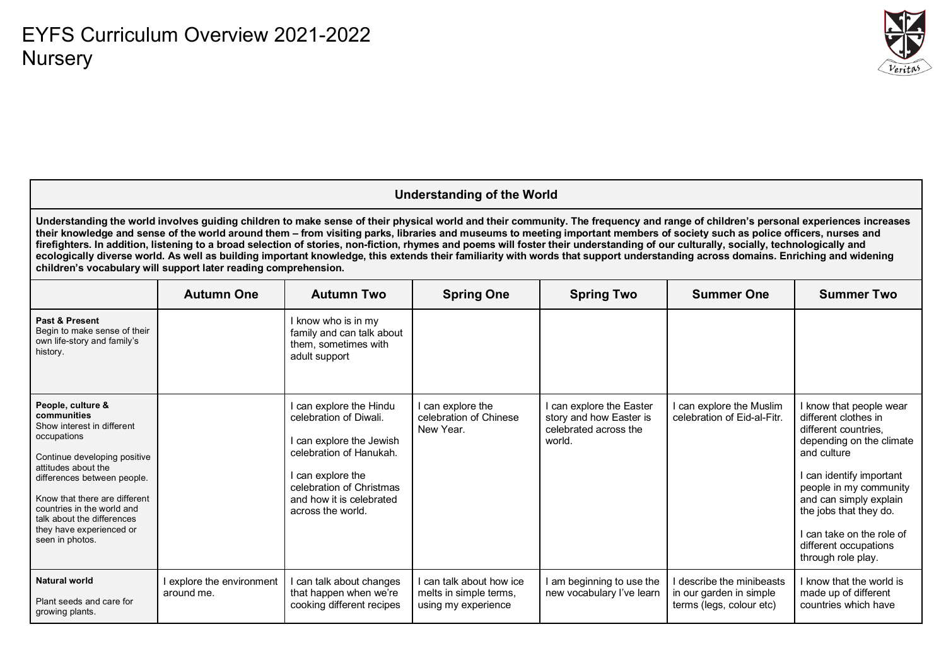

#### **Understanding of the World**

**Understanding the world involves guiding children to make sense of their physical world and their community. The frequency and range of children's personal experiences increases their knowledge and sense of the world around them – from visiting parks, libraries and museums to meeting important members of society such as police officers, nurses and firefighters. In addition, listening to a broad selection of stories, non-fiction, rhymes and poems will foster their understanding of our culturally, socially, technologically and ecologically diverse world. As well as building important knowledge, this extends their familiarity with words that support understanding across domains. Enriching and widening children's vocabulary will support later reading comprehension.**

|                                                                                                                                                                                                                                                                                                                 | <b>Autumn One</b>                     | <b>Autumn Two</b>                                                                                                                                                                                          | <b>Spring One</b>                                                         | <b>Spring Two</b>                                                                    | <b>Summer One</b>                                                                | <b>Summer Two</b>                                                                                                                                                                                                                                                                                  |
|-----------------------------------------------------------------------------------------------------------------------------------------------------------------------------------------------------------------------------------------------------------------------------------------------------------------|---------------------------------------|------------------------------------------------------------------------------------------------------------------------------------------------------------------------------------------------------------|---------------------------------------------------------------------------|--------------------------------------------------------------------------------------|----------------------------------------------------------------------------------|----------------------------------------------------------------------------------------------------------------------------------------------------------------------------------------------------------------------------------------------------------------------------------------------------|
| Past & Present<br>Begin to make sense of their<br>own life-story and family's<br>history.                                                                                                                                                                                                                       |                                       | I know who is in my<br>family and can talk about<br>them, sometimes with<br>adult support                                                                                                                  |                                                                           |                                                                                      |                                                                                  |                                                                                                                                                                                                                                                                                                    |
| People, culture &<br>communities<br>Show interest in different<br>occupations<br>Continue developing positive<br>attitudes about the<br>differences between people.<br>Know that there are different<br>countries in the world and<br>talk about the differences<br>they have experienced or<br>seen in photos. |                                       | I can explore the Hindu<br>celebration of Diwali.<br>I can explore the Jewish<br>celebration of Hanukah.<br>I can explore the<br>celebration of Christmas<br>and how it is celebrated<br>across the world. | I can explore the<br>celebration of Chinese<br>New Year.                  | can explore the Easter<br>story and how Easter is<br>celebrated across the<br>world. | I can explore the Muslim<br>celebration of Eid-al-Fitr.                          | know that people wear<br>different clothes in<br>different countries,<br>depending on the climate<br>and culture<br>can identify important<br>people in my community<br>and can simply explain<br>the jobs that they do.<br>can take on the role of<br>different occupations<br>through role play. |
| <b>Natural world</b><br>Plant seeds and care for<br>growing plants.                                                                                                                                                                                                                                             | explore the environment<br>around me. | I can talk about changes<br>that happen when we're<br>cooking different recipes                                                                                                                            | I can talk about how ice<br>melts in simple terms,<br>using my experience | am beginning to use the<br>new vocabulary l've learn                                 | I describe the minibeasts<br>in our garden in simple<br>terms (legs, colour etc) | I know that the world is<br>made up of different<br>countries which have                                                                                                                                                                                                                           |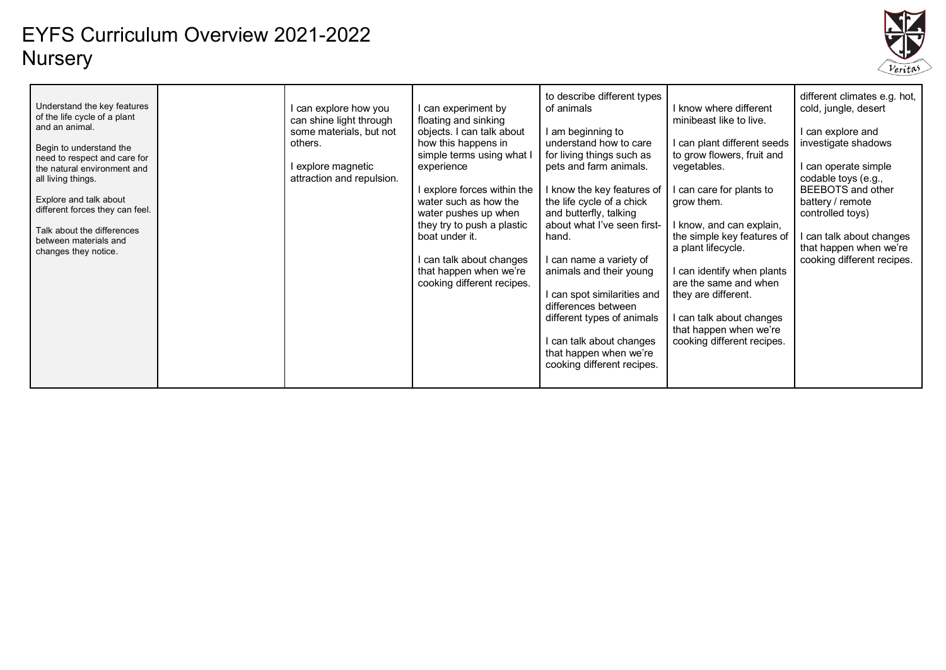

| Understand the key features<br>of the life cycle of a plant<br>and an animal.<br>Begin to understand the<br>need to respect and care for<br>the natural environment and<br>all living things.<br>Explore and talk about<br>different forces they can feel.<br>Talk about the differences<br>between materials and<br>changes they notice. |  | I can explore how you<br>can shine light through<br>some materials, but not<br>others.<br>I explore magnetic<br>attraction and repulsion. | can experiment by<br>floating and sinking<br>objects. I can talk about<br>how this happens in<br>simple terms using what I<br>experience<br>explore forces within the<br>water such as how the<br>water pushes up when<br>they try to push a plastic<br>boat under it.<br>can talk about changes<br>that happen when we're<br>cooking different recipes. | to describe different types<br>of animals<br>I am beginning to<br>understand how to care<br>for living things such as<br>pets and farm animals.<br>I know the key features of<br>the life cycle of a chick<br>and butterfly, talking<br>about what I've seen first-<br>hand.<br>I can name a variety of<br>animals and their young<br>l can spot similarities and<br>differences between<br>different types of animals<br>I can talk about changes<br>that happen when we're<br>cooking different recipes. | I know where different<br>minibeast like to live.<br>can plant different seeds<br>to grow flowers, fruit and<br>vegetables.<br>l can care for plants to<br>grow them.<br>I know, and can explain,<br>the simple key features of<br>a plant lifecycle.<br>I can identify when plants<br>are the same and when<br>they are different.<br>I can talk about changes<br>that happen when we're<br>cooking different recipes. | different climates e.g. hot,<br>cold, jungle, desert<br>I can explore and<br>investigate shadows<br>I can operate simple<br>codable toys (e.g.,<br><b>BEEBOTS</b> and other<br>battery / remote<br>controlled toys)<br>can talk about changes<br>that happen when we're<br>cooking different recipes. |
|-------------------------------------------------------------------------------------------------------------------------------------------------------------------------------------------------------------------------------------------------------------------------------------------------------------------------------------------|--|-------------------------------------------------------------------------------------------------------------------------------------------|----------------------------------------------------------------------------------------------------------------------------------------------------------------------------------------------------------------------------------------------------------------------------------------------------------------------------------------------------------|------------------------------------------------------------------------------------------------------------------------------------------------------------------------------------------------------------------------------------------------------------------------------------------------------------------------------------------------------------------------------------------------------------------------------------------------------------------------------------------------------------|-------------------------------------------------------------------------------------------------------------------------------------------------------------------------------------------------------------------------------------------------------------------------------------------------------------------------------------------------------------------------------------------------------------------------|-------------------------------------------------------------------------------------------------------------------------------------------------------------------------------------------------------------------------------------------------------------------------------------------------------|
|-------------------------------------------------------------------------------------------------------------------------------------------------------------------------------------------------------------------------------------------------------------------------------------------------------------------------------------------|--|-------------------------------------------------------------------------------------------------------------------------------------------|----------------------------------------------------------------------------------------------------------------------------------------------------------------------------------------------------------------------------------------------------------------------------------------------------------------------------------------------------------|------------------------------------------------------------------------------------------------------------------------------------------------------------------------------------------------------------------------------------------------------------------------------------------------------------------------------------------------------------------------------------------------------------------------------------------------------------------------------------------------------------|-------------------------------------------------------------------------------------------------------------------------------------------------------------------------------------------------------------------------------------------------------------------------------------------------------------------------------------------------------------------------------------------------------------------------|-------------------------------------------------------------------------------------------------------------------------------------------------------------------------------------------------------------------------------------------------------------------------------------------------------|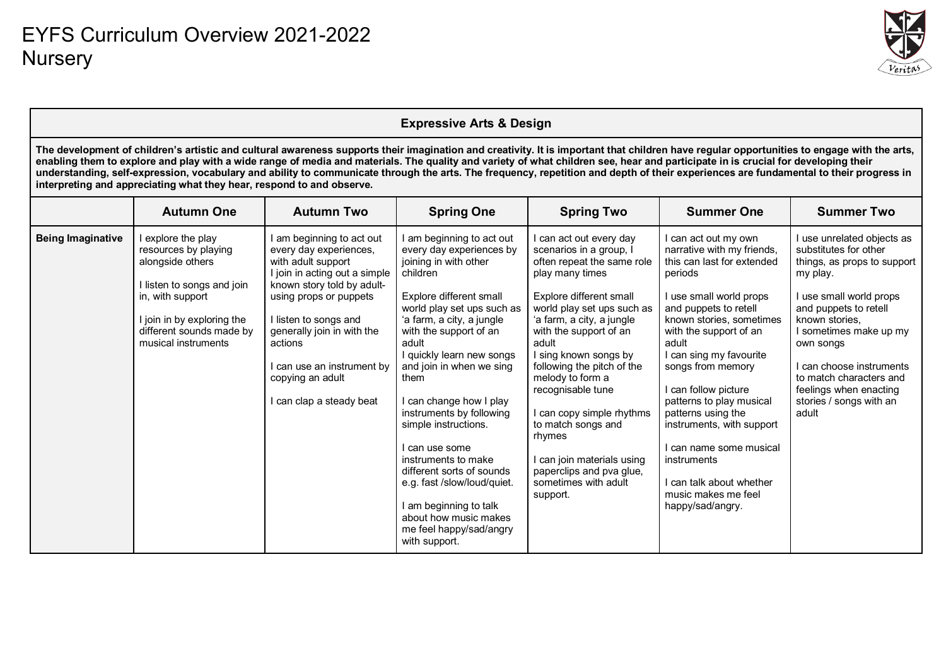

|                          |                                                                                                                                                                                                                                                                                                                                                                                                                                                                                                                                                                                                                                                   |                                                                                                                                                                                                                                                                                                                    | <b>Expressive Arts &amp; Design</b>                                                                                                                                                                                                                                                                                                                                                                                                                                                                                                                                     |                                                                                                                                                                                                                                                                                                                                                                                                                                                                                     |                                                                                                                                                                                                                                                                                                                                                                                                                                                                                        |                                                                                                                                                                                                                                                                                                                                  |  |  |  |  |  |
|--------------------------|---------------------------------------------------------------------------------------------------------------------------------------------------------------------------------------------------------------------------------------------------------------------------------------------------------------------------------------------------------------------------------------------------------------------------------------------------------------------------------------------------------------------------------------------------------------------------------------------------------------------------------------------------|--------------------------------------------------------------------------------------------------------------------------------------------------------------------------------------------------------------------------------------------------------------------------------------------------------------------|-------------------------------------------------------------------------------------------------------------------------------------------------------------------------------------------------------------------------------------------------------------------------------------------------------------------------------------------------------------------------------------------------------------------------------------------------------------------------------------------------------------------------------------------------------------------------|-------------------------------------------------------------------------------------------------------------------------------------------------------------------------------------------------------------------------------------------------------------------------------------------------------------------------------------------------------------------------------------------------------------------------------------------------------------------------------------|----------------------------------------------------------------------------------------------------------------------------------------------------------------------------------------------------------------------------------------------------------------------------------------------------------------------------------------------------------------------------------------------------------------------------------------------------------------------------------------|----------------------------------------------------------------------------------------------------------------------------------------------------------------------------------------------------------------------------------------------------------------------------------------------------------------------------------|--|--|--|--|--|
|                          | The development of children's artistic and cultural awareness supports their imagination and creativity. It is important that children have regular opportunities to engage with the arts,<br>enabling them to explore and play with a wide range of media and materials. The quality and variety of what children see, hear and participate in is crucial for developing their<br>understanding, self-expression, vocabulary and ability to communicate through the arts. The frequency, repetition and depth of their experiences are fundamental to their progress in<br>interpreting and appreciating what they hear, respond to and observe. |                                                                                                                                                                                                                                                                                                                    |                                                                                                                                                                                                                                                                                                                                                                                                                                                                                                                                                                         |                                                                                                                                                                                                                                                                                                                                                                                                                                                                                     |                                                                                                                                                                                                                                                                                                                                                                                                                                                                                        |                                                                                                                                                                                                                                                                                                                                  |  |  |  |  |  |
|                          | <b>Autumn One</b>                                                                                                                                                                                                                                                                                                                                                                                                                                                                                                                                                                                                                                 | <b>Autumn Two</b>                                                                                                                                                                                                                                                                                                  | <b>Spring One</b>                                                                                                                                                                                                                                                                                                                                                                                                                                                                                                                                                       | <b>Spring Two</b>                                                                                                                                                                                                                                                                                                                                                                                                                                                                   | <b>Summer One</b>                                                                                                                                                                                                                                                                                                                                                                                                                                                                      | <b>Summer Two</b>                                                                                                                                                                                                                                                                                                                |  |  |  |  |  |
| <b>Being Imaginative</b> | I explore the play<br>resources by playing<br>alongside others<br>I listen to songs and join<br>in, with support<br>I join in by exploring the<br>different sounds made by<br>musical instruments                                                                                                                                                                                                                                                                                                                                                                                                                                                 | I am beginning to act out<br>every day experiences,<br>with adult support<br>I join in acting out a simple<br>known story told by adult-<br>using props or puppets<br>I listen to songs and<br>generally join in with the<br>actions<br>I can use an instrument by<br>copying an adult<br>I can clap a steady beat | I am beginning to act out<br>every day experiences by<br>joining in with other<br>children<br>Explore different small<br>world play set ups such as<br>'a farm, a city, a jungle<br>with the support of an<br>adult<br>I quickly learn new songs<br>and join in when we sing<br>them<br>I can change how I play<br>instruments by following<br>simple instructions.<br>I can use some<br>instruments to make<br>different sorts of sounds<br>e.g. fast /slow/loud/quiet.<br>I am beginning to talk<br>about how music makes<br>me feel happy/sad/angry<br>with support. | can act out every day<br>scenarios in a group, I<br>often repeat the same role<br>play many times<br>Explore different small<br>world play set ups such as<br>'a farm, a city, a jungle<br>with the support of an<br>adult<br>I sing known songs by<br>following the pitch of the<br>melody to form a<br>recognisable tune<br>can copy simple rhythms<br>to match songs and<br>rhymes<br>I can join materials using<br>paperclips and pva glue,<br>sometimes with adult<br>support. | I can act out my own<br>narrative with my friends,<br>this can last for extended<br>periods<br>I use small world props<br>and puppets to retell<br>known stories, sometimes<br>with the support of an<br>adult<br>I can sing my favourite<br>songs from memory<br>I can follow picture<br>patterns to play musical<br>patterns using the<br>instruments, with support<br>I can name some musical<br>instruments<br>I can talk about whether<br>music makes me feel<br>happy/sad/angry. | I use unrelated objects as<br>substitutes for other<br>things, as props to support<br>my play.<br>I use small world props<br>and puppets to retell<br>known stories,<br>I sometimes make up my<br>own songs<br>I can choose instruments<br>to match characters and<br>feelings when enacting<br>stories / songs with an<br>adult |  |  |  |  |  |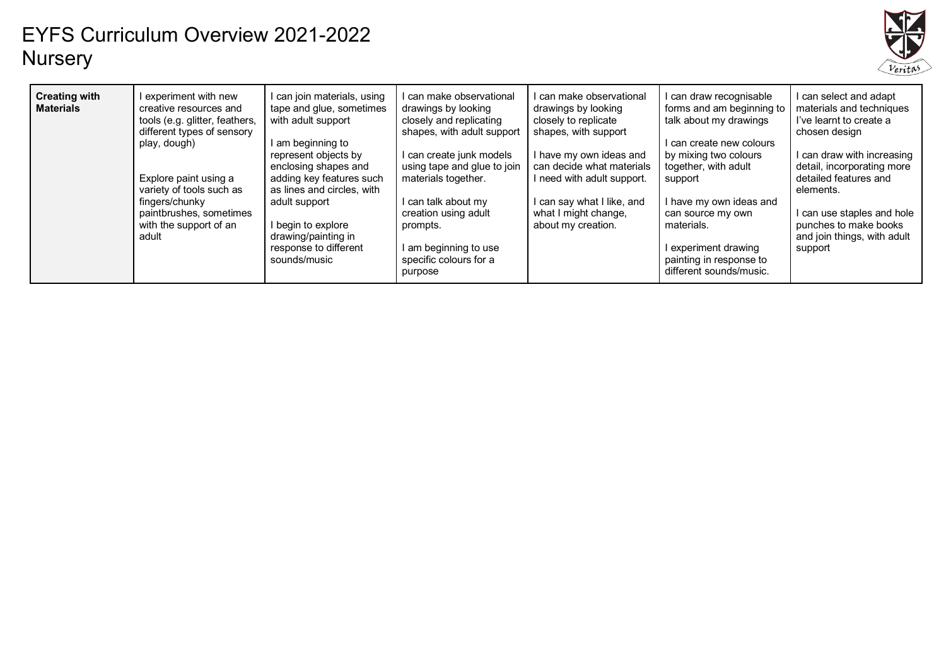

| <b>Creating with</b><br><b>Materials</b> | l experiment with new<br>creative resources and<br>tools (e.g. glitter, feathers,<br>different types of sensory<br>play, dough)<br>Explore paint using a<br>variety of tools such as<br>fingers/chunky<br>paintbrushes, sometimes<br>with the support of an<br>adult | I can join materials, using<br>tape and glue, sometimes<br>with adult support<br>I am beginning to<br>represent objects by<br>enclosing shapes and<br>adding key features such<br>as lines and circles, with<br>adult support<br>I begin to explore<br>drawing/painting in<br>response to different<br>sounds/music | I can make observational<br>drawings by looking<br>closely and replicating<br>shapes, with adult support<br>I can create junk models<br>using tape and glue to join<br>materials together.<br>I can talk about my<br>creation using adult<br>prompts.<br>I am beginning to use<br>specific colours for a<br>purpose | I can make observational<br>drawings by looking<br>closely to replicate<br>shapes, with support<br>I have my own ideas and<br>can decide what materials<br>I need with adult support.<br>I can say what I like, and<br>what I might change,<br>about my creation. | I can draw recognisable<br>forms and am beginning to<br>talk about my drawings<br>I can create new colours<br>by mixing two colours<br>together, with adult<br>support<br>I have my own ideas and<br>can source my own<br>materials.<br>I experiment drawing<br>painting in response to<br>different sounds/music. | I can select and adapt<br>materials and techniques<br>I've learnt to create a<br>chosen design<br>I can draw with increasing<br>detail, incorporating more<br>detailed features and<br>elements.<br>I can use staples and hole<br>punches to make books<br>and join things, with adult<br>support |
|------------------------------------------|----------------------------------------------------------------------------------------------------------------------------------------------------------------------------------------------------------------------------------------------------------------------|---------------------------------------------------------------------------------------------------------------------------------------------------------------------------------------------------------------------------------------------------------------------------------------------------------------------|---------------------------------------------------------------------------------------------------------------------------------------------------------------------------------------------------------------------------------------------------------------------------------------------------------------------|-------------------------------------------------------------------------------------------------------------------------------------------------------------------------------------------------------------------------------------------------------------------|--------------------------------------------------------------------------------------------------------------------------------------------------------------------------------------------------------------------------------------------------------------------------------------------------------------------|---------------------------------------------------------------------------------------------------------------------------------------------------------------------------------------------------------------------------------------------------------------------------------------------------|
|------------------------------------------|----------------------------------------------------------------------------------------------------------------------------------------------------------------------------------------------------------------------------------------------------------------------|---------------------------------------------------------------------------------------------------------------------------------------------------------------------------------------------------------------------------------------------------------------------------------------------------------------------|---------------------------------------------------------------------------------------------------------------------------------------------------------------------------------------------------------------------------------------------------------------------------------------------------------------------|-------------------------------------------------------------------------------------------------------------------------------------------------------------------------------------------------------------------------------------------------------------------|--------------------------------------------------------------------------------------------------------------------------------------------------------------------------------------------------------------------------------------------------------------------------------------------------------------------|---------------------------------------------------------------------------------------------------------------------------------------------------------------------------------------------------------------------------------------------------------------------------------------------------|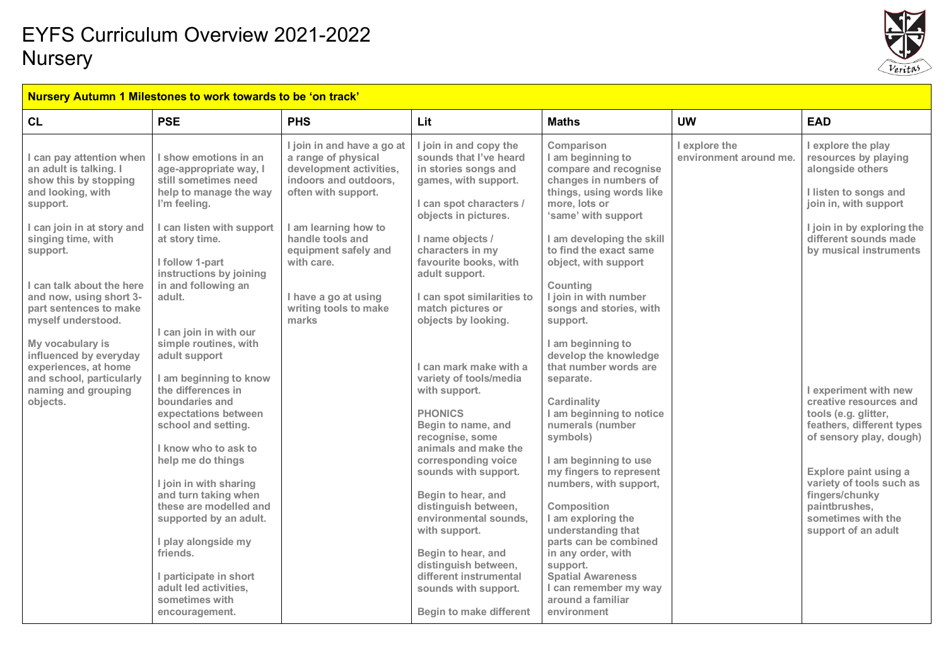

#### **Nursery Autumn 1 Milestones to work towards to be 'on track'**

| CL                                                                                                                                                                                                                                                                                                                                                                                                                        | <b>PSE</b>                                                                                                                                                                                                                                                                                                                                                                                                                                                                                                                                                                                                                                                                                                        | <b>PHS</b>                                                                                                                                                                                                                                                               | Lit                                                                                                                                                                                                                                                                                                                                                                                                                                                                                                                                                                                                                                                                                                                                               | <b>Maths</b>                                                                                                                                                                                                                                                                                                                                                                                                                                                                                                                                                                                                                                                                                                                                                                 | <b>UW</b>                               | <b>EAD</b>                                                                                                                                                                                                                                                                                                                                                                                                                                                                |
|---------------------------------------------------------------------------------------------------------------------------------------------------------------------------------------------------------------------------------------------------------------------------------------------------------------------------------------------------------------------------------------------------------------------------|-------------------------------------------------------------------------------------------------------------------------------------------------------------------------------------------------------------------------------------------------------------------------------------------------------------------------------------------------------------------------------------------------------------------------------------------------------------------------------------------------------------------------------------------------------------------------------------------------------------------------------------------------------------------------------------------------------------------|--------------------------------------------------------------------------------------------------------------------------------------------------------------------------------------------------------------------------------------------------------------------------|---------------------------------------------------------------------------------------------------------------------------------------------------------------------------------------------------------------------------------------------------------------------------------------------------------------------------------------------------------------------------------------------------------------------------------------------------------------------------------------------------------------------------------------------------------------------------------------------------------------------------------------------------------------------------------------------------------------------------------------------------|------------------------------------------------------------------------------------------------------------------------------------------------------------------------------------------------------------------------------------------------------------------------------------------------------------------------------------------------------------------------------------------------------------------------------------------------------------------------------------------------------------------------------------------------------------------------------------------------------------------------------------------------------------------------------------------------------------------------------------------------------------------------------|-----------------------------------------|---------------------------------------------------------------------------------------------------------------------------------------------------------------------------------------------------------------------------------------------------------------------------------------------------------------------------------------------------------------------------------------------------------------------------------------------------------------------------|
| I can pay attention when<br>an adult is talking. I<br>show this by stopping<br>and looking, with<br>support.<br>I can join in at story and<br>singing time, with<br>support.<br>I can talk about the here<br>and now, using short 3-<br>part sentences to make<br>myself understood.<br>My vocabulary is<br>influenced by everyday<br>experiences, at home<br>and school, particularly<br>naming and grouping<br>objects. | I show emotions in an<br>age-appropriate way, I<br>still sometimes need<br>help to manage the way<br>I'm feeling.<br>I can listen with support<br>at story time.<br>I follow 1-part<br>instructions by joining<br>in and following an<br>adult.<br>I can join in with our<br>simple routines, with<br>adult support<br>I am beginning to know<br>the differences in<br>boundaries and<br>expectations between<br>school and setting.<br>I know who to ask to<br>help me do things<br>I join in with sharing<br>and turn taking when<br>these are modelled and<br>supported by an adult.<br>I play alongside my<br>friends.<br>I participate in short<br>adult led activities,<br>sometimes with<br>encouragement. | I join in and have a go at<br>a range of physical<br>development activities,<br>indoors and outdoors.<br>often with support.<br>I am learning how to<br>handle tools and<br>equipment safely and<br>with care.<br>I have a go at using<br>writing tools to make<br>marks | I join in and copy the<br>sounds that I've heard<br>in stories songs and<br>games, with support.<br>I can spot characters /<br>objects in pictures.<br>I name objects /<br>characters in my<br>favourite books, with<br>adult support.<br>I can spot similarities to<br>match pictures or<br>objects by looking.<br>I can mark make with a<br>variety of tools/media<br>with support.<br><b>PHONICS</b><br>Begin to name, and<br>recognise, some<br>animals and make the<br>corresponding voice<br>sounds with support.<br>Begin to hear, and<br>distinguish between,<br>environmental sounds.<br>with support.<br>Begin to hear, and<br>distinguish between,<br>different instrumental<br>sounds with support.<br><b>Begin to make different</b> | Comparison<br>I am beginning to<br>compare and recognise<br>changes in numbers of<br>things, using words like<br>more, lots or<br>'same' with support<br>I am developing the skill<br>to find the exact same<br>object, with support<br>Counting<br>I join in with number<br>songs and stories, with<br>support.<br>I am beginning to<br>develop the knowledge<br>that number words are<br>separate.<br>Cardinality<br>I am beginning to notice<br>numerals (number<br>symbols)<br>I am beginning to use<br>my fingers to represent<br>numbers, with support,<br>Composition<br>I am exploring the<br>understanding that<br>parts can be combined<br>in any order, with<br>support.<br><b>Spatial Awareness</b><br>I can remember my way<br>around a familiar<br>environment | I explore the<br>environment around me. | I explore the play<br>resources by playing<br>alongside others<br>I listen to songs and<br>join in, with support<br>I join in by exploring the<br>different sounds made<br>by musical instruments<br>I experiment with new<br>creative resources and<br>tools (e.g. glitter,<br>feathers, different types<br>of sensory play, dough)<br>Explore paint using a<br>variety of tools such as<br>fingers/chunky<br>paintbrushes,<br>sometimes with the<br>support of an adult |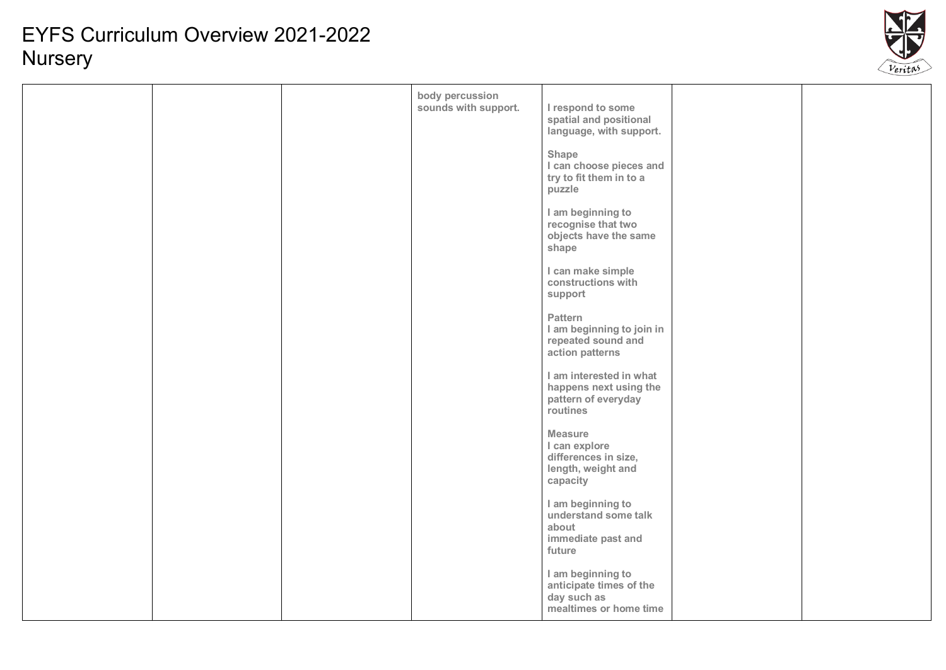

|  | body percussion      |                                                                                           |  |
|--|----------------------|-------------------------------------------------------------------------------------------|--|
|  | sounds with support. | I respond to some<br>spatial and positional<br>language, with support.                    |  |
|  |                      | Shape<br>I can choose pieces and<br>try to fit them in to a<br>puzzle                     |  |
|  |                      | I am beginning to<br>recognise that two<br>objects have the same<br>shape                 |  |
|  |                      | I can make simple<br>constructions with<br>support                                        |  |
|  |                      | Pattern<br>I am beginning to join in<br>repeated sound and<br>action patterns             |  |
|  |                      | I am interested in what<br>happens next using the<br>pattern of everyday<br>routines      |  |
|  |                      | <b>Measure</b><br>I can explore<br>differences in size,<br>length, weight and<br>capacity |  |
|  |                      | I am beginning to<br>understand some talk<br>about<br>immediate past and<br>future        |  |
|  |                      | I am beginning to<br>anticipate times of the<br>day such as<br>mealtimes or home time     |  |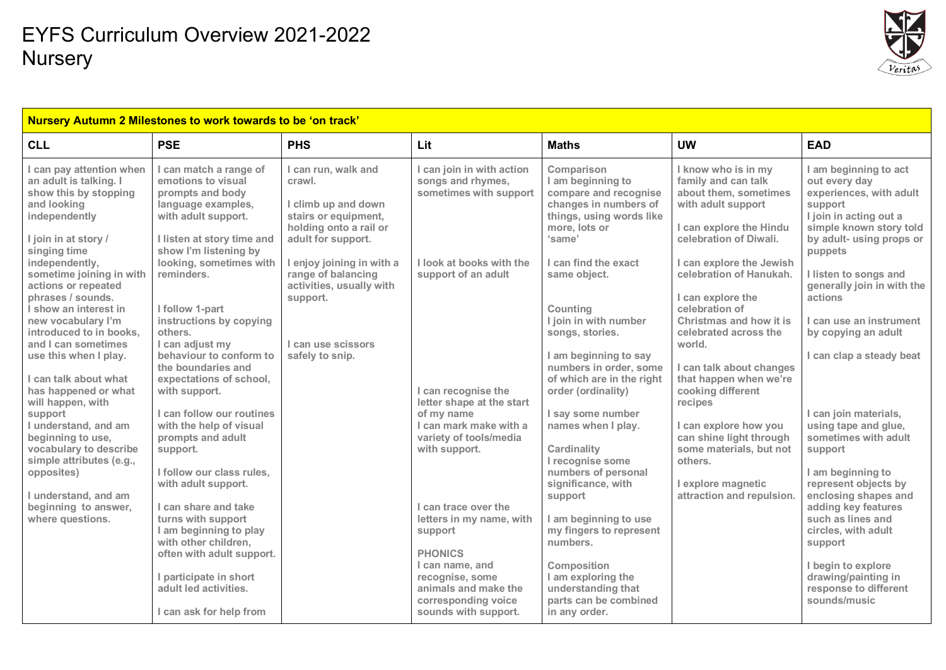

| Nursery Autumn 2 Milestones to work towards to be 'on track'                                                                                                          |                                                                                                                                                                                                 |                                                                                                                                                           |                                                                                                     |                                                                                                                                                                  |                                                                                                                                                                            |                                                                                                                                                                          |  |  |
|-----------------------------------------------------------------------------------------------------------------------------------------------------------------------|-------------------------------------------------------------------------------------------------------------------------------------------------------------------------------------------------|-----------------------------------------------------------------------------------------------------------------------------------------------------------|-----------------------------------------------------------------------------------------------------|------------------------------------------------------------------------------------------------------------------------------------------------------------------|----------------------------------------------------------------------------------------------------------------------------------------------------------------------------|--------------------------------------------------------------------------------------------------------------------------------------------------------------------------|--|--|
| <b>CLL</b>                                                                                                                                                            | <b>PSE</b>                                                                                                                                                                                      | <b>PHS</b>                                                                                                                                                | Lit                                                                                                 | <b>Maths</b>                                                                                                                                                     | <b>UW</b>                                                                                                                                                                  | <b>EAD</b>                                                                                                                                                               |  |  |
| I can pay attention when<br>an adult is talking. I<br>show this by stopping<br>and looking<br>independently<br>I join in at story /<br>singing time<br>independently, | I can match a range of<br>emotions to visual<br>prompts and body<br>language examples,<br>with adult support.<br>I listen at story time and<br>show I'm listening by<br>looking, sometimes with | I can run, walk and<br>crawl.<br>I climb up and down<br>stairs or equipment,<br>holding onto a rail or<br>adult for support.<br>I enjoy joining in with a | can join in with action<br>songs and rhymes,<br>sometimes with support<br>I look at books with the  | Comparison<br>I am beginning to<br>compare and recognise<br>changes in numbers of<br>things, using words like<br>more, lots or<br>'same'<br>I can find the exact | I know who is in my<br>family and can talk<br>about them, sometimes<br>with adult support<br>I can explore the Hindu<br>celebration of Diwali.<br>I can explore the Jewish | I am beginning to act<br>out every day<br>experiences, with adult<br>support<br>I join in acting out a<br>simple known story told<br>by adult- using props or<br>puppets |  |  |
| sometime joining in with<br>actions or repeated<br>phrases / sounds.                                                                                                  | reminders.                                                                                                                                                                                      | range of balancing<br>activities, usually with<br>support.                                                                                                | support of an adult                                                                                 | same object.                                                                                                                                                     | celebration of Hanukah.<br>I can explore the                                                                                                                               | I listen to songs and<br>generally join in with the<br>actions                                                                                                           |  |  |
| I show an interest in<br>new vocabulary I'm<br>introduced to in books.<br>and I can sometimes                                                                         | I follow 1-part<br>instructions by copying<br>others.<br>I can adjust my                                                                                                                        | I can use scissors                                                                                                                                        |                                                                                                     | Counting<br>I join in with number<br>songs, stories.                                                                                                             | celebration of<br>Christmas and how it is<br>celebrated across the<br>world.                                                                                               | I can use an instrument<br>by copying an adult                                                                                                                           |  |  |
| use this when I play.<br>can talk about what                                                                                                                          | behaviour to conform to<br>the boundaries and<br>expectations of school,                                                                                                                        | safely to snip.                                                                                                                                           |                                                                                                     | I am beginning to say<br>numbers in order, some<br>of which are in the right                                                                                     | I can talk about changes<br>that happen when we're                                                                                                                         | can clap a steady beat                                                                                                                                                   |  |  |
| has happened or what<br>will happen, with<br>support                                                                                                                  | with support.<br>I can follow our routines                                                                                                                                                      |                                                                                                                                                           | I can recognise the<br>letter shape at the start<br>of my name                                      | order (ordinality)<br>I say some number                                                                                                                          | cooking different<br>recipes                                                                                                                                               | I can join materials,                                                                                                                                                    |  |  |
| I understand, and am<br>beginning to use,<br>vocabulary to describe                                                                                                   | with the help of visual<br>prompts and adult<br>support.                                                                                                                                        |                                                                                                                                                           | I can mark make with a<br>variety of tools/media<br>with support.                                   | names when I play.<br>Cardinality                                                                                                                                | I can explore how you<br>can shine light through<br>some materials, but not                                                                                                | using tape and glue,<br>sometimes with adult<br>support                                                                                                                  |  |  |
| simple attributes (e.g.,<br>opposites)<br>I understand, and am                                                                                                        | I follow our class rules,<br>with adult support.                                                                                                                                                |                                                                                                                                                           |                                                                                                     | I recognise some<br>numbers of personal<br>significance, with<br>support                                                                                         | others.<br>I explore magnetic<br>attraction and repulsion.                                                                                                                 | I am beginning to<br>represent objects by<br>enclosing shapes and                                                                                                        |  |  |
| beginning to answer,<br>where questions.                                                                                                                              | I can share and take<br>turns with support<br>I am beginning to play<br>with other children,                                                                                                    |                                                                                                                                                           | I can trace over the<br>letters in my name, with<br>support                                         | I am beginning to use<br>my fingers to represent<br>numbers.                                                                                                     |                                                                                                                                                                            | adding key features<br>such as lines and<br>circles, with adult<br>support                                                                                               |  |  |
|                                                                                                                                                                       | often with adult support.<br>I participate in short<br>adult led activities.                                                                                                                    |                                                                                                                                                           | <b>PHONICS</b><br>I can name, and<br>recognise, some<br>animals and make the<br>corresponding voice | Composition<br>I am exploring the<br>understanding that<br>parts can be combined                                                                                 |                                                                                                                                                                            | I begin to explore<br>drawing/painting in<br>response to different<br>sounds/music                                                                                       |  |  |
|                                                                                                                                                                       | I can ask for help from                                                                                                                                                                         |                                                                                                                                                           | sounds with support.                                                                                | in any order.                                                                                                                                                    |                                                                                                                                                                            |                                                                                                                                                                          |  |  |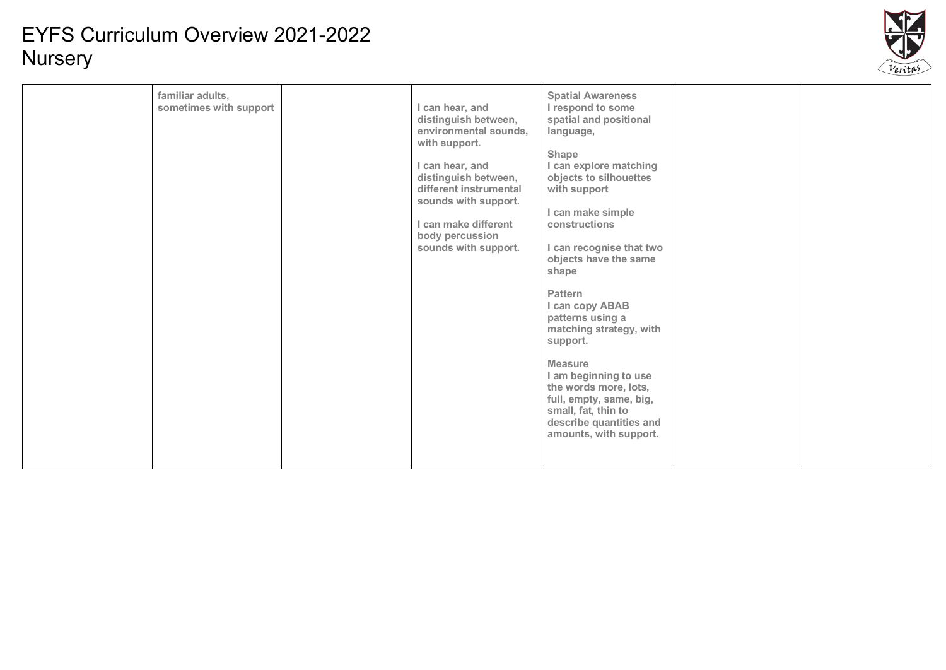

| familiar adults,<br>sometimes with support | I can hear, and<br>distinguish between,<br>environmental sounds,<br>with support.<br>I can hear, and<br>distinguish between,<br>different instrumental<br>sounds with support.<br>I can make different<br>body percussion<br>sounds with support. | <b>Spatial Awareness</b><br>I respond to some<br>spatial and positional<br>language,<br>Shape<br>I can explore matching<br>objects to silhouettes<br>with support<br>I can make simple<br>constructions<br>I can recognise that two<br>objects have the same<br>shape<br>Pattern<br>I can copy ABAB<br>patterns using a<br>matching strategy, with<br>support.<br><b>Measure</b><br>I am beginning to use<br>the words more, lots,<br>full, empty, same, big,<br>small, fat, thin to<br>describe quantities and<br>amounts, with support. |  |  |
|--------------------------------------------|---------------------------------------------------------------------------------------------------------------------------------------------------------------------------------------------------------------------------------------------------|-------------------------------------------------------------------------------------------------------------------------------------------------------------------------------------------------------------------------------------------------------------------------------------------------------------------------------------------------------------------------------------------------------------------------------------------------------------------------------------------------------------------------------------------|--|--|
|--------------------------------------------|---------------------------------------------------------------------------------------------------------------------------------------------------------------------------------------------------------------------------------------------------|-------------------------------------------------------------------------------------------------------------------------------------------------------------------------------------------------------------------------------------------------------------------------------------------------------------------------------------------------------------------------------------------------------------------------------------------------------------------------------------------------------------------------------------------|--|--|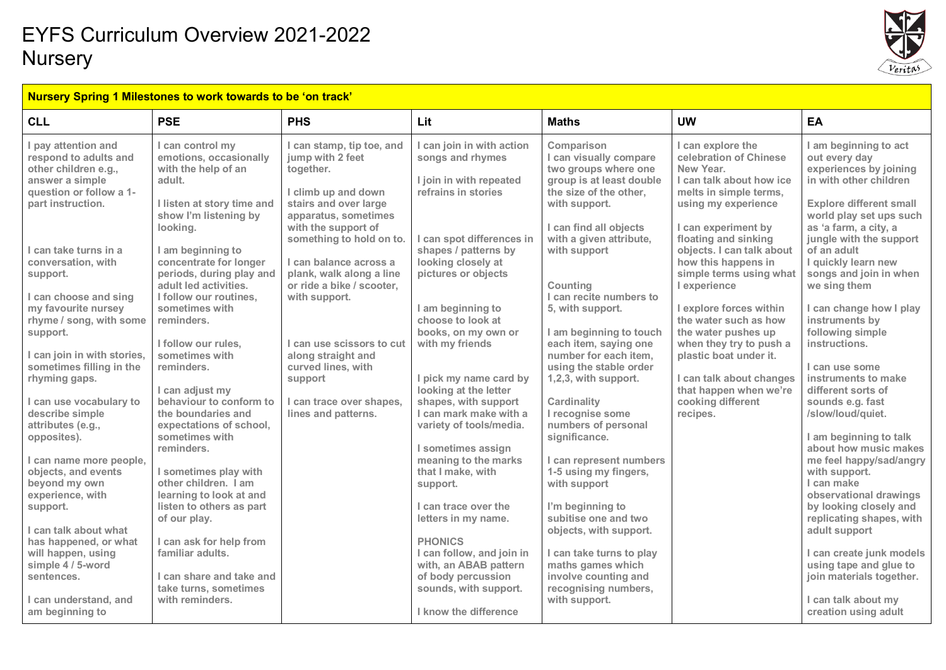

#### **Nursery Spring 1 Milestones to work towards to be 'on track'**

| <b>CLL</b>                                                                                                                                                                                                                                                                                                                                                                                                                                              | <b>PSE</b>                                                                                                                                                                                                                                                                                                                                                                                                                                                                                         | <b>PHS</b>                                                                                                                                                                                                                                                                                                                                                                                                                       | Lit                                                                                                                                                                                                                                                                                                                                                                                                                                         | <b>Maths</b>                                                                                                                                                                                                                                                                                                                                                                                                                                                                  | <b>UW</b>                                                                                                                                                                                                                                                                                                                                                                                                                                                                                                  | EA                                                                                                                                                                                                                                                                                                                                                                                                                                                                                                                                       |
|---------------------------------------------------------------------------------------------------------------------------------------------------------------------------------------------------------------------------------------------------------------------------------------------------------------------------------------------------------------------------------------------------------------------------------------------------------|----------------------------------------------------------------------------------------------------------------------------------------------------------------------------------------------------------------------------------------------------------------------------------------------------------------------------------------------------------------------------------------------------------------------------------------------------------------------------------------------------|----------------------------------------------------------------------------------------------------------------------------------------------------------------------------------------------------------------------------------------------------------------------------------------------------------------------------------------------------------------------------------------------------------------------------------|---------------------------------------------------------------------------------------------------------------------------------------------------------------------------------------------------------------------------------------------------------------------------------------------------------------------------------------------------------------------------------------------------------------------------------------------|-------------------------------------------------------------------------------------------------------------------------------------------------------------------------------------------------------------------------------------------------------------------------------------------------------------------------------------------------------------------------------------------------------------------------------------------------------------------------------|------------------------------------------------------------------------------------------------------------------------------------------------------------------------------------------------------------------------------------------------------------------------------------------------------------------------------------------------------------------------------------------------------------------------------------------------------------------------------------------------------------|------------------------------------------------------------------------------------------------------------------------------------------------------------------------------------------------------------------------------------------------------------------------------------------------------------------------------------------------------------------------------------------------------------------------------------------------------------------------------------------------------------------------------------------|
| I pay attention and<br>respond to adults and<br>other children e.g.,<br>answer a simple<br>question or follow a 1-<br>part instruction.<br>I can take turns in a<br>conversation, with<br>support.<br>I can choose and sing<br>my favourite nursey<br>rhyme / song, with some<br>support.<br>I can join in with stories,<br>sometimes filling in the<br>rhyming gaps.<br>I can use vocabulary to<br>describe simple<br>attributes (e.g.,<br>opposites). | I can control my<br>emotions, occasionally<br>with the help of an<br>adult.<br>I listen at story time and<br>show I'm listening by<br>looking.<br>I am beginning to<br>concentrate for longer<br>periods, during play and<br>adult led activities.<br>I follow our routines,<br>sometimes with<br>reminders.<br>I follow our rules.<br>sometimes with<br>reminders.<br>I can adjust my<br>behaviour to conform to<br>the boundaries and<br>expectations of school,<br>sometimes with<br>reminders. | I can stamp, tip toe, and<br>jump with 2 feet<br>together.<br>I climb up and down<br>stairs and over large<br>apparatus, sometimes<br>with the support of<br>something to hold on to.<br>I can balance across a<br>plank, walk along a line<br>or ride a bike / scooter,<br>with support.<br>I can use scissors to cut<br>along straight and<br>curved lines, with<br>support<br>I can trace over shapes,<br>lines and patterns. | I can join in with action<br>songs and rhymes<br>I join in with repeated<br>refrains in stories<br>I can spot differences in<br>shapes / patterns by<br>looking closely at<br>pictures or objects<br>I am beginning to<br>choose to look at<br>books, on my own or<br>with my friends<br>I pick my name card by<br>looking at the letter<br>shapes, with support<br>I can mark make with a<br>variety of tools/media.<br>I sometimes assign | Comparison<br>I can visually compare<br>two groups where one<br>group is at least double<br>the size of the other.<br>with support.<br>I can find all objects<br>with a given attribute,<br>with support<br>Counting<br>I can recite numbers to<br>5, with support.<br>I am beginning to touch<br>each item, saying one<br>number for each item.<br>using the stable order<br>1,2,3, with support.<br>Cardinality<br>I recognise some<br>numbers of personal<br>significance. | I can explore the<br>celebration of Chinese<br>New Year.<br>I can talk about how ice<br>melts in simple terms,<br>using my experience<br>I can experiment by<br>floating and sinking<br>objects. I can talk about<br>how this happens in<br>simple terms using what<br>I experience<br>I explore forces within<br>the water such as how<br>the water pushes up<br>when they try to push a<br>plastic boat under it.<br>I can talk about changes<br>that happen when we're<br>cooking different<br>recipes. | I am beginning to act<br>out every day<br>experiences by joining<br>in with other children<br><b>Explore different small</b><br>world play set ups such<br>as 'a farm, a city, a<br>jungle with the support<br>of an adult<br>I quickly learn new<br>songs and join in when<br>we sing them<br>I can change how I play<br>instruments by<br>following simple<br>instructions.<br>I can use some<br>instruments to make<br>different sorts of<br>sounds e.g. fast<br>/slow/loud/quiet.<br>I am beginning to talk<br>about how music makes |
| I can name more people,<br>objects, and events<br>beyond my own<br>experience, with<br>support.                                                                                                                                                                                                                                                                                                                                                         | I sometimes play with<br>other children. I am<br>learning to look at and<br>listen to others as part<br>of our play.                                                                                                                                                                                                                                                                                                                                                                               |                                                                                                                                                                                                                                                                                                                                                                                                                                  | meaning to the marks<br>that I make, with<br>support.<br>I can trace over the<br>letters in my name.                                                                                                                                                                                                                                                                                                                                        | I can represent numbers<br>1-5 using my fingers,<br>with support<br>I'm beginning to<br>subitise one and two                                                                                                                                                                                                                                                                                                                                                                  |                                                                                                                                                                                                                                                                                                                                                                                                                                                                                                            | me feel happy/sad/angry<br>with support.<br>I can make<br>observational drawings<br>by looking closely and<br>replicating shapes, with                                                                                                                                                                                                                                                                                                                                                                                                   |
| I can talk about what<br>has happened, or what<br>will happen, using<br>simple 4 / 5-word<br>sentences.<br>I can understand, and<br>am beginning to                                                                                                                                                                                                                                                                                                     | I can ask for help from<br>familiar adults.<br>I can share and take and<br>take turns, sometimes<br>with reminders.                                                                                                                                                                                                                                                                                                                                                                                |                                                                                                                                                                                                                                                                                                                                                                                                                                  | <b>PHONICS</b><br>I can follow, and join in<br>with, an ABAB pattern<br>of body percussion<br>sounds, with support.<br>I know the difference                                                                                                                                                                                                                                                                                                | objects, with support.<br>I can take turns to play<br>maths games which<br>involve counting and<br>recognising numbers,<br>with support.                                                                                                                                                                                                                                                                                                                                      |                                                                                                                                                                                                                                                                                                                                                                                                                                                                                                            | adult support<br>I can create junk models<br>using tape and glue to<br>join materials together.<br>I can talk about my<br>creation using adult                                                                                                                                                                                                                                                                                                                                                                                           |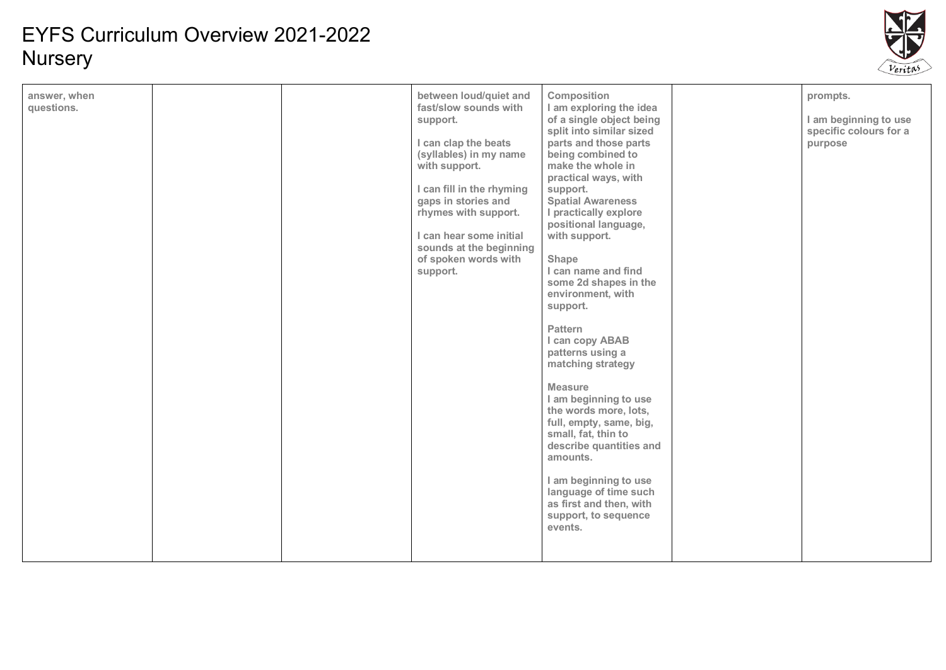

| answer, when<br>questions. |  | between loud/quiet and<br>fast/slow sounds with<br>support.<br>I can clap the beats<br>(syllables) in my name<br>with support.<br>I can fill in the rhyming<br>gaps in stories and<br>rhymes with support.<br>I can hear some initial<br>sounds at the beginning<br>of spoken words with<br>support. | Composition<br>I am exploring the idea<br>of a single object being<br>split into similar sized<br>parts and those parts<br>being combined to<br>make the whole in<br>practical ways, with<br>support.<br><b>Spatial Awareness</b><br>I practically explore<br>positional language,<br>with support.<br>Shape<br>I can name and find<br>some 2d shapes in the<br>environment, with<br>support.<br>Pattern<br>I can copy ABAB<br>patterns using a<br>matching strategy<br><b>Measure</b><br>I am beginning to use<br>the words more, lots,<br>full, empty, same, big,<br>small, fat, thin to<br>describe quantities and<br>amounts.<br>I am beginning to use<br>language of time such<br>as first and then, with<br>support, to sequence<br>events. |  | prompts.<br>I am beginning to use<br>specific colours for a<br>purpose |
|----------------------------|--|------------------------------------------------------------------------------------------------------------------------------------------------------------------------------------------------------------------------------------------------------------------------------------------------------|---------------------------------------------------------------------------------------------------------------------------------------------------------------------------------------------------------------------------------------------------------------------------------------------------------------------------------------------------------------------------------------------------------------------------------------------------------------------------------------------------------------------------------------------------------------------------------------------------------------------------------------------------------------------------------------------------------------------------------------------------|--|------------------------------------------------------------------------|
|----------------------------|--|------------------------------------------------------------------------------------------------------------------------------------------------------------------------------------------------------------------------------------------------------------------------------------------------------|---------------------------------------------------------------------------------------------------------------------------------------------------------------------------------------------------------------------------------------------------------------------------------------------------------------------------------------------------------------------------------------------------------------------------------------------------------------------------------------------------------------------------------------------------------------------------------------------------------------------------------------------------------------------------------------------------------------------------------------------------|--|------------------------------------------------------------------------|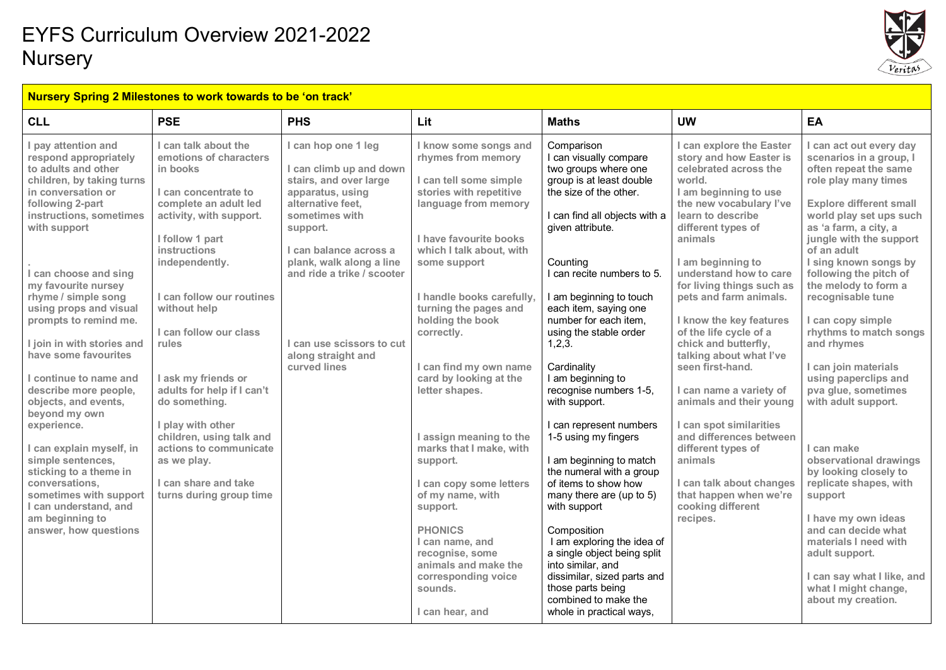

#### **Nursery Spring 2 Milestones to work towards to be 'on track'**

| <b>CLL</b>                                                                                                                                                                                                                                                                                                                                                                                                                                                                                                                                                                                                                                                             | <b>PSE</b>                                                                                                                                                                                                                                                                                                                                                                                                                                                                                     | <b>PHS</b>                                                                                                                                                                                                                                                                                             | Lit                                                                                                                                                                                                                                                                                                                                                                                                                                                                                                                                                                                                                            | <b>Maths</b>                                                                                                                                                                                                                                                                                                                                                                                                                                                                                                                                                                                                                                                                                                                                                                                             | <b>UW</b>                                                                                                                                                                                                                                                                                                                                                                                                                                                                                                                                                                                                                                                              | EA                                                                                                                                                                                                                                                                                                                                                                                                                                                                                                                                                                                                                                                                                                                                                                        |
|------------------------------------------------------------------------------------------------------------------------------------------------------------------------------------------------------------------------------------------------------------------------------------------------------------------------------------------------------------------------------------------------------------------------------------------------------------------------------------------------------------------------------------------------------------------------------------------------------------------------------------------------------------------------|------------------------------------------------------------------------------------------------------------------------------------------------------------------------------------------------------------------------------------------------------------------------------------------------------------------------------------------------------------------------------------------------------------------------------------------------------------------------------------------------|--------------------------------------------------------------------------------------------------------------------------------------------------------------------------------------------------------------------------------------------------------------------------------------------------------|--------------------------------------------------------------------------------------------------------------------------------------------------------------------------------------------------------------------------------------------------------------------------------------------------------------------------------------------------------------------------------------------------------------------------------------------------------------------------------------------------------------------------------------------------------------------------------------------------------------------------------|----------------------------------------------------------------------------------------------------------------------------------------------------------------------------------------------------------------------------------------------------------------------------------------------------------------------------------------------------------------------------------------------------------------------------------------------------------------------------------------------------------------------------------------------------------------------------------------------------------------------------------------------------------------------------------------------------------------------------------------------------------------------------------------------------------|------------------------------------------------------------------------------------------------------------------------------------------------------------------------------------------------------------------------------------------------------------------------------------------------------------------------------------------------------------------------------------------------------------------------------------------------------------------------------------------------------------------------------------------------------------------------------------------------------------------------------------------------------------------------|---------------------------------------------------------------------------------------------------------------------------------------------------------------------------------------------------------------------------------------------------------------------------------------------------------------------------------------------------------------------------------------------------------------------------------------------------------------------------------------------------------------------------------------------------------------------------------------------------------------------------------------------------------------------------------------------------------------------------------------------------------------------------|
| pay attention and<br>respond appropriately<br>to adults and other<br>children, by taking turns<br>in conversation or<br>following 2-part<br>instructions, sometimes<br>with support<br>I can choose and sing<br>my favourite nursey<br>rhyme / simple song<br>using props and visual<br>prompts to remind me.<br>I join in with stories and<br>have some favourites<br>continue to name and<br>describe more people,<br>objects, and events,<br>beyond my own<br>experience.<br>can explain myself, in<br>simple sentences,<br>sticking to a theme in<br>conversations.<br>sometimes with support<br>I can understand, and<br>am beginning to<br>answer, how questions | I can talk about the<br>emotions of characters<br>in books<br>I can concentrate to<br>complete an adult led<br>activity, with support.<br>I follow 1 part<br>instructions<br>independently.<br>I can follow our routines<br>without help<br>I can follow our class<br>rules<br>I ask my friends or<br>adults for help if I can't<br>do something.<br>I play with other<br>children, using talk and<br>actions to communicate<br>as we play.<br>I can share and take<br>turns during group time | I can hop one 1 leg<br>I can climb up and down<br>stairs, and over large<br>apparatus, using<br>alternative feet.<br>sometimes with<br>support.<br>I can balance across a<br>plank, walk along a line<br>and ride a trike / scooter<br>I can use scissors to cut<br>along straight and<br>curved lines | I know some songs and<br>rhymes from memory<br>I can tell some simple<br>stories with repetitive<br>language from memory<br>I have favourite books<br>which I talk about, with<br>some support<br>I handle books carefully,<br>turning the pages and<br>holding the book<br>correctly.<br>I can find my own name<br>card by looking at the<br>letter shapes.<br>I assign meaning to the<br>marks that I make, with<br>support.<br>I can copy some letters<br>of my name, with<br>support.<br><b>PHONICS</b><br>I can name, and<br>recognise, some<br>animals and make the<br>corresponding voice<br>sounds.<br>I can hear, and | Comparison<br>I can visually compare<br>two groups where one<br>group is at least double<br>the size of the other.<br>I can find all objects with a<br>given attribute.<br>Counting<br>I can recite numbers to 5.<br>I am beginning to touch<br>each item, saying one<br>number for each item,<br>using the stable order<br>1,2,3.<br>Cardinality<br>I am beginning to<br>recognise numbers 1-5,<br>with support.<br>I can represent numbers<br>1-5 using my fingers<br>I am beginning to match<br>the numeral with a group<br>of items to show how<br>many there are (up to 5)<br>with support<br>Composition<br>I am exploring the idea of<br>a single object being split<br>into similar, and<br>dissimilar, sized parts and<br>those parts being<br>combined to make the<br>whole in practical ways, | I can explore the Easter<br>story and how Easter is<br>celebrated across the<br>world.<br>I am beginning to use<br>the new vocabulary l've<br>learn to describe<br>different types of<br>animals<br>I am beginning to<br>understand how to care<br>for living things such as<br>pets and farm animals.<br>I know the key features<br>of the life cycle of a<br>chick and butterfly,<br>talking about what I've<br>seen first-hand.<br>I can name a variety of<br>animals and their young<br>I can spot similarities<br>and differences between<br>different types of<br>animals<br>I can talk about changes<br>that happen when we're<br>cooking different<br>recipes. | I can act out every day<br>scenarios in a group, I<br>often repeat the same<br>role play many times<br><b>Explore different small</b><br>world play set ups such<br>as 'a farm, a city, a<br>jungle with the support<br>of an adult<br>I sing known songs by<br>following the pitch of<br>the melody to form a<br>recognisable tune<br>I can copy simple<br>rhythms to match songs<br>and rhymes<br>I can join materials<br>using paperclips and<br>pva glue, sometimes<br>with adult support.<br>I can make<br>observational drawings<br>by looking closely to<br>replicate shapes, with<br>support<br>I have my own ideas<br>and can decide what<br>materials I need with<br>adult support.<br>I can say what I like, and<br>what I might change,<br>about my creation. |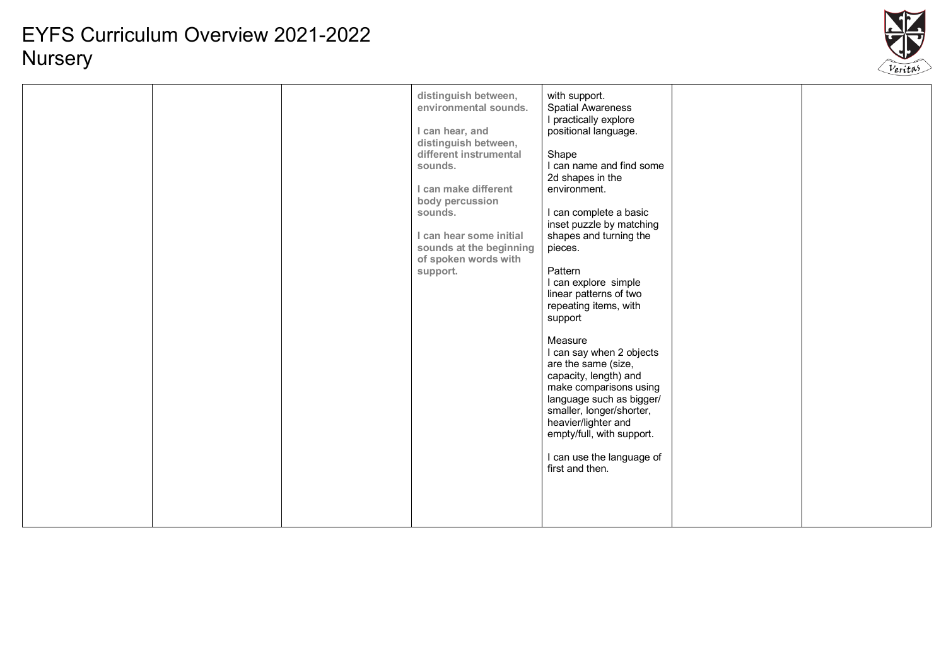

|  |  | distinguish between,<br>environmental sounds.<br>I can hear, and<br>distinguish between,<br>different instrumental<br>sounds.<br>I can make different<br>body percussion<br>sounds.<br>I can hear some initial<br>sounds at the beginning<br>of spoken words with<br>support. | with support.<br><b>Spatial Awareness</b><br>I practically explore<br>positional language.<br>Shape<br>I can name and find some<br>2d shapes in the<br>environment.<br>I can complete a basic<br>inset puzzle by matching<br>shapes and turning the<br>pieces.<br>Pattern<br>I can explore simple<br>linear patterns of two<br>repeating items, with<br>support<br>Measure<br>I can say when 2 objects<br>are the same (size,<br>capacity, length) and<br>make comparisons using<br>language such as bigger/<br>smaller, longer/shorter,<br>heavier/lighter and<br>empty/full, with support.<br>I can use the language of<br>first and then. |  |  |
|--|--|-------------------------------------------------------------------------------------------------------------------------------------------------------------------------------------------------------------------------------------------------------------------------------|----------------------------------------------------------------------------------------------------------------------------------------------------------------------------------------------------------------------------------------------------------------------------------------------------------------------------------------------------------------------------------------------------------------------------------------------------------------------------------------------------------------------------------------------------------------------------------------------------------------------------------------------|--|--|
|--|--|-------------------------------------------------------------------------------------------------------------------------------------------------------------------------------------------------------------------------------------------------------------------------------|----------------------------------------------------------------------------------------------------------------------------------------------------------------------------------------------------------------------------------------------------------------------------------------------------------------------------------------------------------------------------------------------------------------------------------------------------------------------------------------------------------------------------------------------------------------------------------------------------------------------------------------------|--|--|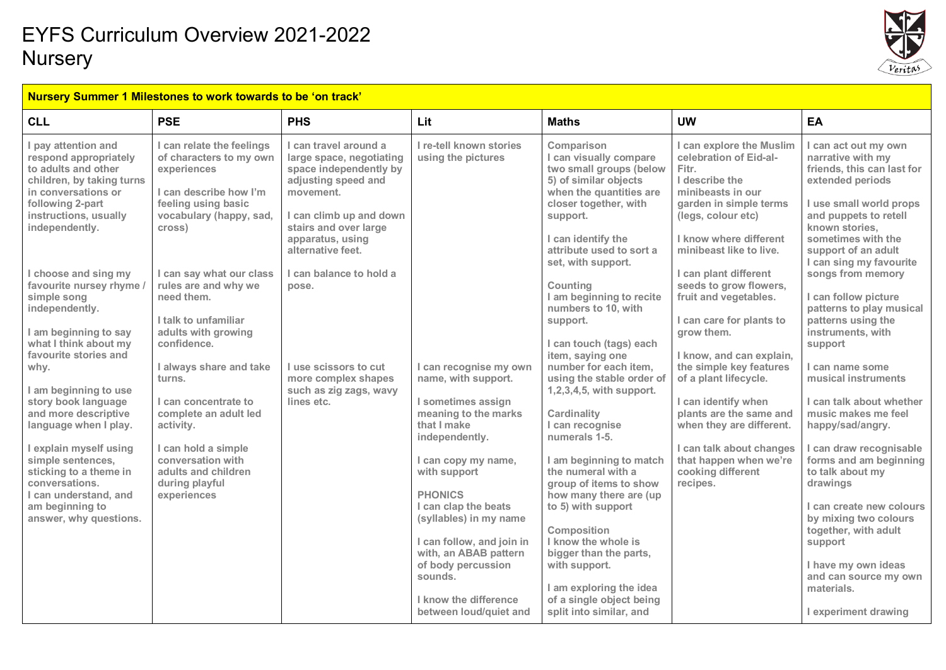

| <b>CLL</b>                                                                                                                                                                                                                               | <b>PSE</b>                                                                                                                                                                                                         | <b>PHS</b>                                                                                                                                                                                                   | Lit                                                                                                                                                                                                                                                                                | <b>Maths</b>                                                                                                                                                                                                                                                                                                                   | <b>UW</b>                                                                                                                                                                                                                                            | EA                                                                                                                                                                                                                                                                                  |
|------------------------------------------------------------------------------------------------------------------------------------------------------------------------------------------------------------------------------------------|--------------------------------------------------------------------------------------------------------------------------------------------------------------------------------------------------------------------|--------------------------------------------------------------------------------------------------------------------------------------------------------------------------------------------------------------|------------------------------------------------------------------------------------------------------------------------------------------------------------------------------------------------------------------------------------------------------------------------------------|--------------------------------------------------------------------------------------------------------------------------------------------------------------------------------------------------------------------------------------------------------------------------------------------------------------------------------|------------------------------------------------------------------------------------------------------------------------------------------------------------------------------------------------------------------------------------------------------|-------------------------------------------------------------------------------------------------------------------------------------------------------------------------------------------------------------------------------------------------------------------------------------|
| I pay attention and<br>respond appropriately<br>to adults and other<br>children, by taking turns<br>in conversations or<br>following 2-part<br>instructions, usually<br>independently.                                                   | I can relate the feelings<br>of characters to my own<br>experiences<br>I can describe how I'm<br>feeling using basic<br>vocabulary (happy, sad,<br>cross)                                                          | I can travel around a<br>large space, negotiating<br>space independently by<br>adjusting speed and<br>movement.<br>I can climb up and down<br>stairs and over large<br>apparatus, using<br>alternative feet. | I re-tell known stories<br>using the pictures                                                                                                                                                                                                                                      | Comparison<br>I can visually compare<br>two small groups (below<br>5) of similar objects<br>when the quantities are<br>closer together, with<br>support.<br>I can identify the<br>attribute used to sort a<br>set, with support.                                                                                               | I can explore the Muslim<br>celebration of Eid-al-<br>Fitr.<br>I describe the<br>minibeasts in our<br>garden in simple terms<br>(legs, colour etc)<br>I know where different<br>minibeast like to live.                                              | I can act out my own<br>narrative with my<br>friends, this can last for<br>extended periods<br>I use small world props<br>and puppets to retell<br>known stories.<br>sometimes with the<br>support of an adult<br>I can sing my favourite                                           |
| choose and sing my<br>favourite nursey rhyme<br>simple song<br>independently.<br>I am beginning to say<br>what I think about my<br>favourite stories and<br>why.<br>I am beginning to use<br>story book language<br>and more descriptive | I can say what our class<br>rules are and why we<br>need them.<br>I talk to unfamiliar<br>adults with growing<br>confidence.<br>I always share and take<br>turns.<br>I can concentrate to<br>complete an adult led | I can balance to hold a<br>pose.<br>I use scissors to cut<br>more complex shapes<br>such as zig zags, wavy<br>lines etc.                                                                                     | I can recognise my own<br>name, with support.<br>I sometimes assign<br>meaning to the marks                                                                                                                                                                                        | Counting<br>I am beginning to recite<br>numbers to 10, with<br>support.<br>I can touch (tags) each<br>item, saying one<br>number for each item.<br>using the stable order of<br>1,2,3,4,5, with support.<br>Cardinality                                                                                                        | I can plant different<br>seeds to grow flowers,<br>fruit and vegetables.<br>I can care for plants to<br>grow them.<br>I know, and can explain,<br>the simple key features<br>of a plant lifecycle.<br>I can identify when<br>plants are the same and | songs from memory<br>I can follow picture<br>patterns to play musical<br>patterns using the<br>instruments, with<br>support<br>I can name some<br>musical instruments<br>I can talk about whether<br>music makes me feel                                                            |
| language when I play.<br>I explain myself using<br>simple sentences,<br>sticking to a theme in<br>conversations.<br>I can understand, and<br>am beginning to<br>answer, why questions.                                                   | activity.<br>I can hold a simple<br>conversation with<br>adults and children<br>during playful<br>experiences                                                                                                      |                                                                                                                                                                                                              | that I make<br>independently.<br>I can copy my name,<br>with support<br><b>PHONICS</b><br>I can clap the beats<br>(syllables) in my name<br>I can follow, and join in<br>with, an ABAB pattern<br>of body percussion<br>sounds.<br>I know the difference<br>between loud/quiet and | I can recognise<br>numerals 1-5.<br>I am beginning to match<br>the numeral with a<br>group of items to show<br>how many there are (up<br>to 5) with support<br>Composition<br>I know the whole is<br>bigger than the parts,<br>with support.<br>I am exploring the idea<br>of a single object being<br>split into similar, and | when they are different.<br>I can talk about changes<br>that happen when we're<br>cooking different<br>recipes.                                                                                                                                      | happy/sad/angry.<br>I can draw recognisable<br>forms and am beginning<br>to talk about my<br>drawings<br>I can create new colours<br>by mixing two colours<br>together, with adult<br>support<br>I have my own ideas<br>and can source my own<br>materials.<br>I experiment drawing |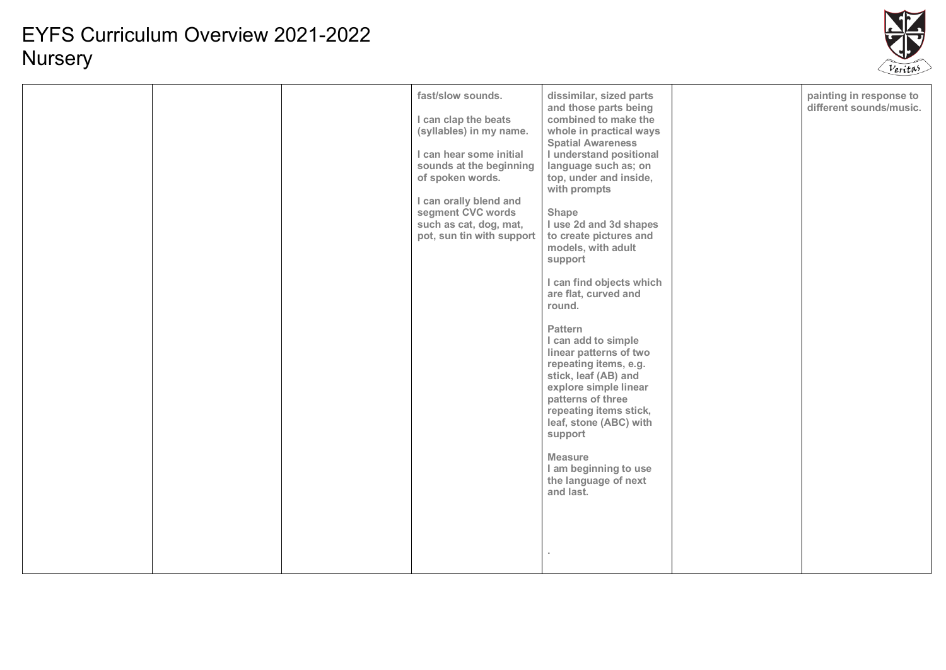

|  |  | fast/slow sounds.<br>I can clap the beats<br>(syllables) in my name.<br>I can hear some initial<br>sounds at the beginning<br>of spoken words.<br>I can orally blend and<br>segment CVC words<br>Shape<br>such as cat, dog, mat,<br>pot, sun tin with support | dissimilar, sized parts<br>and those parts being<br>combined to make the<br>whole in practical ways<br><b>Spatial Awareness</b><br>I understand positional<br>language such as; on<br>top, under and inside,<br>with prompts<br>I use 2d and 3d shapes<br>to create pictures and<br>models, with adult<br>support<br>I can find objects which<br>are flat, curved and<br>round.<br><b>Pattern</b><br>I can add to simple<br>linear patterns of two<br>repeating items, e.g.<br>stick, leaf (AB) and<br>explore simple linear<br>patterns of three<br>repeating items stick,<br>leaf, stone (ABC) with<br>support<br><b>Measure</b><br>I am beginning to use<br>the language of next<br>and last. |  | painting in response to<br>different sounds/music. |
|--|--|---------------------------------------------------------------------------------------------------------------------------------------------------------------------------------------------------------------------------------------------------------------|--------------------------------------------------------------------------------------------------------------------------------------------------------------------------------------------------------------------------------------------------------------------------------------------------------------------------------------------------------------------------------------------------------------------------------------------------------------------------------------------------------------------------------------------------------------------------------------------------------------------------------------------------------------------------------------------------|--|----------------------------------------------------|
|--|--|---------------------------------------------------------------------------------------------------------------------------------------------------------------------------------------------------------------------------------------------------------------|--------------------------------------------------------------------------------------------------------------------------------------------------------------------------------------------------------------------------------------------------------------------------------------------------------------------------------------------------------------------------------------------------------------------------------------------------------------------------------------------------------------------------------------------------------------------------------------------------------------------------------------------------------------------------------------------------|--|----------------------------------------------------|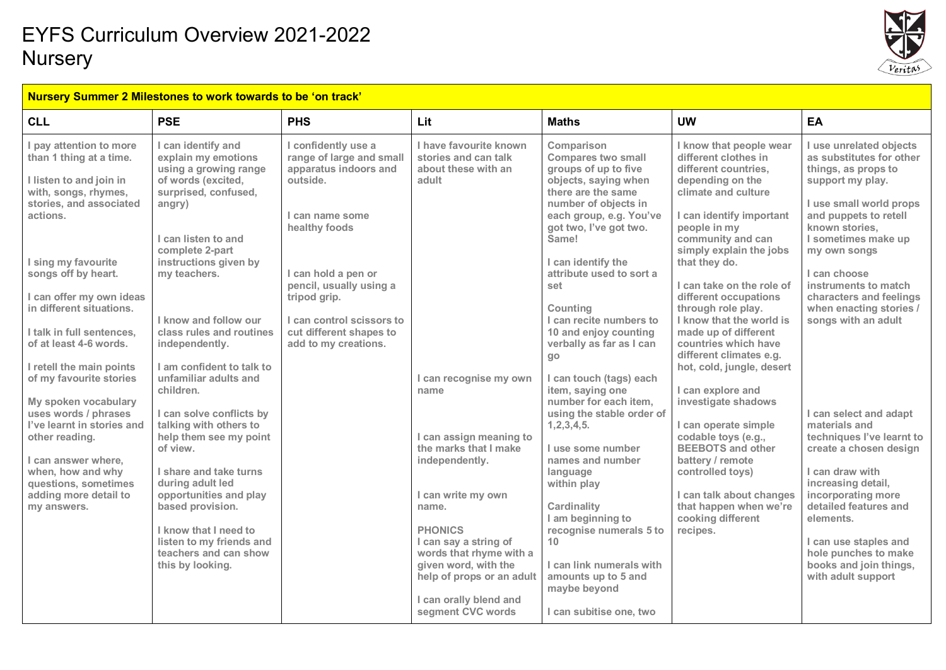

#### **Nursery Summer 2 Milestones to work towards to be 'on track'**

| <b>CLL</b>                                                                                                                                                                                                                                                                                                | <b>PSE</b>                                                                                                                                                                                                                                                                                                                                                | <b>PHS</b>                                                                                                                                                                                                                                                                 | Lit                                                                                                                                                                                                                                                                                                           | <b>Maths</b>                                                                                                                                                                                                                                                                                                                                                     | <b>UW</b>                                                                                                                                                                                                                                                                                                                                                                               | EA                                                                                                                                                                                                                                                                                                                               |
|-----------------------------------------------------------------------------------------------------------------------------------------------------------------------------------------------------------------------------------------------------------------------------------------------------------|-----------------------------------------------------------------------------------------------------------------------------------------------------------------------------------------------------------------------------------------------------------------------------------------------------------------------------------------------------------|----------------------------------------------------------------------------------------------------------------------------------------------------------------------------------------------------------------------------------------------------------------------------|---------------------------------------------------------------------------------------------------------------------------------------------------------------------------------------------------------------------------------------------------------------------------------------------------------------|------------------------------------------------------------------------------------------------------------------------------------------------------------------------------------------------------------------------------------------------------------------------------------------------------------------------------------------------------------------|-----------------------------------------------------------------------------------------------------------------------------------------------------------------------------------------------------------------------------------------------------------------------------------------------------------------------------------------------------------------------------------------|----------------------------------------------------------------------------------------------------------------------------------------------------------------------------------------------------------------------------------------------------------------------------------------------------------------------------------|
| I pay attention to more<br>than 1 thing at a time.<br>I listen to and join in<br>with, songs, rhymes,<br>stories, and associated<br>actions.<br>I sing my favourite<br>songs off by heart.<br>I can offer my own ideas<br>in different situations.<br>I talk in full sentences,<br>of at least 4-6 words. | I can identify and<br>explain my emotions<br>using a growing range<br>of words (excited,<br>surprised, confused,<br>angry)<br>I can listen to and<br>complete 2-part<br>instructions given by<br>my teachers.<br>I know and follow our<br>class rules and routines<br>independently.                                                                      | I confidently use a<br>range of large and small<br>apparatus indoors and<br>outside.<br>I can name some<br>healthy foods<br>I can hold a pen or<br>pencil, usually using a<br>tripod grip.<br>I can control scissors to<br>cut different shapes to<br>add to my creations. | I have favourite known<br>stories and can talk<br>about these with an<br>adult                                                                                                                                                                                                                                | Comparison<br><b>Compares two small</b><br>groups of up to five<br>objects, saying when<br>there are the same<br>number of objects in<br>each group, e.g. You've<br>got two, I've got two.<br>Same!<br>I can identify the<br>attribute used to sort a<br>set<br>Counting<br>I can recite numbers to<br>10 and enjoy counting<br>verbally as far as I can         | I know that people wear<br>different clothes in<br>different countries.<br>depending on the<br>climate and culture<br>I can identify important<br>people in my<br>community and can<br>simply explain the jobs<br>that they do.<br>I can take on the role of<br>different occupations<br>through role play.<br>I know that the world is<br>made up of different<br>countries which have | I use unrelated objects<br>as substitutes for other<br>things, as props to<br>support my play.<br>I use small world props<br>and puppets to retell<br>known stories,<br>I sometimes make up<br>my own songs<br>I can choose<br>instruments to match<br>characters and feelings<br>when enacting stories /<br>songs with an adult |
| I retell the main points<br>of my favourite stories<br>My spoken vocabulary<br>uses words / phrases<br>I've learnt in stories and<br>other reading.<br>I can answer where.<br>when, how and why<br>questions, sometimes<br>adding more detail to<br>my answers.                                           | I am confident to talk to<br>unfamiliar adults and<br>children.<br>I can solve conflicts by<br>talking with others to<br>help them see my point<br>of view.<br>I share and take turns<br>during adult led<br>opportunities and play<br>based provision.<br>I know that I need to<br>listen to my friends and<br>teachers and can show<br>this by looking. |                                                                                                                                                                                                                                                                            | I can recognise my own<br>name<br>I can assign meaning to<br>the marks that I make<br>independently.<br>I can write my own<br>name.<br><b>PHONICS</b><br>I can say a string of<br>words that rhyme with a<br>given word, with the<br>help of props or an adult<br>I can orally blend and<br>segment CVC words | go<br>I can touch (tags) each<br>item, saying one<br>number for each item.<br>using the stable order of<br>1, 2, 3, 4, 5.<br>I use some number<br>names and number<br>language<br>within play<br>Cardinality<br>I am beginning to<br>recognise numerals 5 to<br>10<br>I can link numerals with<br>amounts up to 5 and<br>maybe beyond<br>I can subitise one, two | different climates e.g.<br>hot, cold, jungle, desert<br>I can explore and<br>investigate shadows<br>I can operate simple<br>codable toys (e.g.,<br><b>BEEBOTS and other</b><br>battery / remote<br>controlled toys)<br>I can talk about changes<br>that happen when we're<br>cooking different<br>recipes.                                                                              | I can select and adapt<br>materials and<br>techniques l've learnt to<br>create a chosen design<br>I can draw with<br>increasing detail,<br>incorporating more<br>detailed features and<br>elements.<br>I can use staples and<br>hole punches to make<br>books and join things,<br>with adult support                             |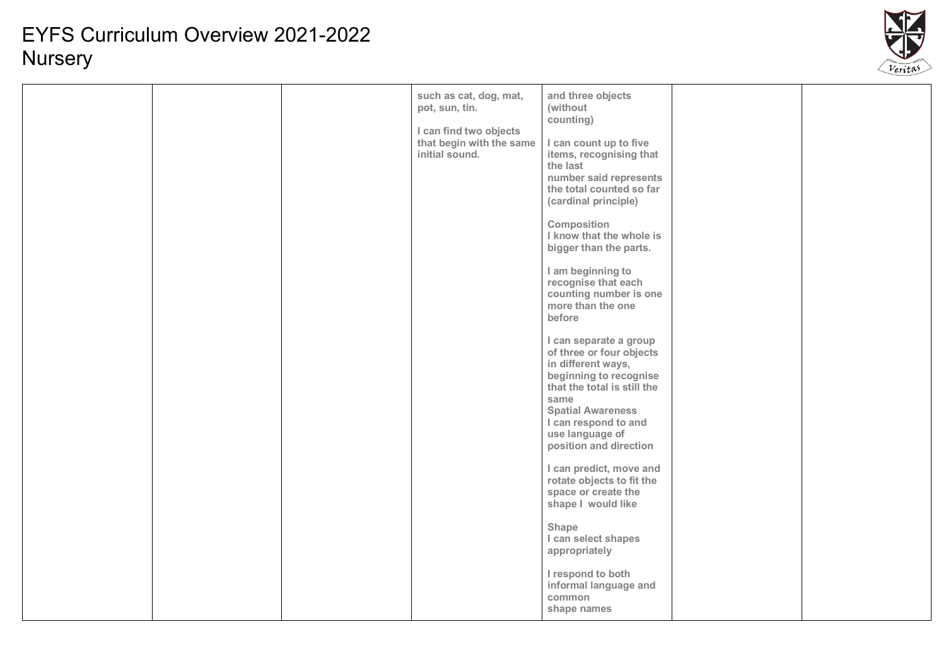

|  | such as cat, dog, mat,<br>pot, sun, tin.<br>I can find two objects<br>that begin with the same<br>initial sound. | and three objects<br>(without<br>counting)<br>I can count up to five<br>items, recognising that<br>the last<br>number said represents<br>the total counted so far<br>(cardinal principle)<br>Composition<br>I know that the whole is<br>bigger than the parts.<br>I am beginning to<br>recognise that each<br>counting number is one<br>more than the one<br>before<br>I can separate a group<br>of three or four objects<br>in different ways,<br>beginning to recognise<br>that the total is still the<br>same<br><b>Spatial Awareness</b><br>I can respond to and<br>use language of<br>position and direction<br>I can predict, move and<br>rotate objects to fit the<br>space or create the<br>shape I would like<br>Shape<br>I can select shapes<br>appropriately<br>I respond to both<br>informal language and<br>common<br>shape names |  |  |
|--|------------------------------------------------------------------------------------------------------------------|------------------------------------------------------------------------------------------------------------------------------------------------------------------------------------------------------------------------------------------------------------------------------------------------------------------------------------------------------------------------------------------------------------------------------------------------------------------------------------------------------------------------------------------------------------------------------------------------------------------------------------------------------------------------------------------------------------------------------------------------------------------------------------------------------------------------------------------------|--|--|
|--|------------------------------------------------------------------------------------------------------------------|------------------------------------------------------------------------------------------------------------------------------------------------------------------------------------------------------------------------------------------------------------------------------------------------------------------------------------------------------------------------------------------------------------------------------------------------------------------------------------------------------------------------------------------------------------------------------------------------------------------------------------------------------------------------------------------------------------------------------------------------------------------------------------------------------------------------------------------------|--|--|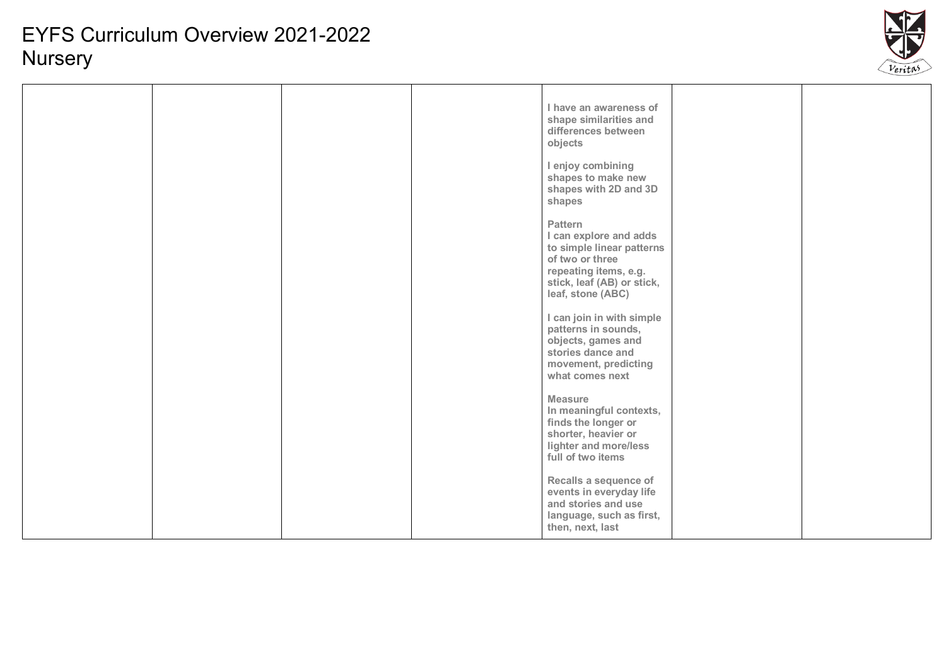

|  |  | I have an awareness of<br>shape similarities and<br>differences between<br>objects                                                                            |  |
|--|--|---------------------------------------------------------------------------------------------------------------------------------------------------------------|--|
|  |  | I enjoy combining<br>shapes to make new<br>shapes with 2D and 3D<br>shapes                                                                                    |  |
|  |  | Pattern<br>I can explore and adds<br>to simple linear patterns<br>of two or three<br>repeating items, e.g.<br>stick, leaf (AB) or stick,<br>leaf, stone (ABC) |  |
|  |  | I can join in with simple<br>patterns in sounds,<br>objects, games and<br>stories dance and<br>movement, predicting<br>what comes next                        |  |
|  |  | <b>Measure</b><br>In meaningful contexts,<br>finds the longer or<br>shorter, heavier or<br>lighter and more/less<br>full of two items                         |  |
|  |  | Recalls a sequence of<br>events in everyday life<br>and stories and use<br>language, such as first,<br>then, next, last                                       |  |